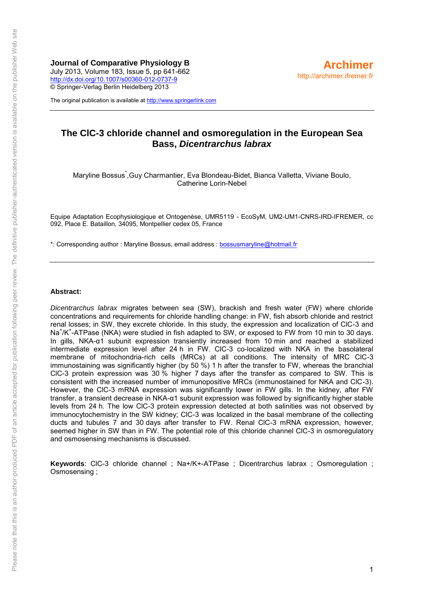**Journal of Comparative Physiology B** July 2013, Volume 183, Issue 5, pp 641-662 <http://dx.doi.org/10.1007/s00360-012-0737-9> © Springer-Verlag Berlin Heidelberg 2013

The original publication is available at [http://www.springerlink.com](http://www.springerlink.com/)

# **The ClC-3 chloride channel and osmoregulation in the European Sea Bass,** *Dicentrarchus labrax*

Maryline Bossus<sup>\*</sup>, Guy Charmantier, Eva Blondeau-Bidet, Bianca Valletta, Viviane Boulo, Catherine Lorin-Nebel

Equipe Adaptation Ecophysiologique et Ontogenèse, UMR5119 - EcoSyM, UM2-UM1-CNRS-IRD-IFREMER, cc 092, Place E. Bataillon, 34095, Montpellier cedex 05, France

\*: Corresponding author : Maryline Bossus, email address : [bossusmaryline@hotmail.fr](mailto:bossusmaryline@hotmail.fr) 

#### **Abstract:**

*Dicentrarchus labrax* migrates between sea (SW), brackish and fresh water (FW) where chloride concentrations and requirements for chloride handling change: in FW, fish absorb chloride and restrict renal losses; in SW, they excrete chloride. In this study, the expression and localization of ClC-3 and Na<sup>+</sup>/K<sup>+</sup>-ATPase (NKA) were studied in fish adapted to SW, or exposed to FW from 10 min to 30 days. In gills, NKA-α1 subunit expression transiently increased from 10 min and reached a stabilized intermediate expression level after 24 h in FW. ClC-3 co-localized with NKA in the basolateral membrane of mitochondria-rich cells (MRCs) at all conditions. The intensity of MRC ClC-3 immunostaining was significantly higher (by 50 %) 1 h after the transfer to FW, whereas the branchial ClC-3 protein expression was 30 % higher 7 days after the transfer as compared to SW. This is consistent with the increased number of immunopositive MRCs (immunostained for NKA and ClC-3). However, the ClC-3 mRNA expression was significantly lower in FW gills. In the kidney, after FW transfer, a transient decrease in NKA-α1 subunit expression was followed by significantly higher stable levels from 24 h. The low ClC-3 protein expression detected at both salinities was not observed by immunocytochemistry in the SW kidney; ClC-3 was localized in the basal membrane of the collecting ducts and tubules 7 and 30 days after transfer to FW. Renal ClC-3 mRNA expression, however, seemed higher in SW than in FW. The potential role of this chloride channel ClC-3 in osmoregulatory and osmosensing mechanisms is discussed.

**Keywords**: ClC-3 chloride channel ; Na+/K+-ATPase ; Dicentrarchus labrax ; Osmoregulation ; Osmosensing ;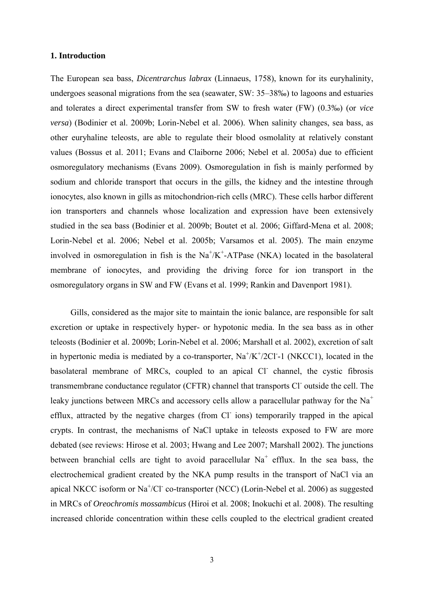#### **1. Introduction**

The European sea bass, *Dicentrarchus labrax* (Linnaeus, 1758), known for its euryhalinity, undergoes seasonal migrations from the sea (seawater, SW: 35–38‰) to lagoons and estuaries and tolerates a direct experimental transfer from SW to fresh water (FW) (0.3‰) (or *vice versa*) (Bodinier et al. 2009b; Lorin-Nebel et al. 2006). When salinity changes, sea bass, as other euryhaline teleosts, are able to regulate their blood osmolality at relatively constant values (Bossus et al. 2011; Evans and Claiborne 2006; Nebel et al. 2005a) due to efficient osmoregulatory mechanisms (Evans 2009). Osmoregulation in fish is mainly performed by sodium and chloride transport that occurs in the gills, the kidney and the intestine through ionocytes, also known in gills as mitochondrion-rich cells (MRC). These cells harbor different ion transporters and channels whose localization and expression have been extensively studied in the sea bass (Bodinier et al. 2009b; Boutet et al. 2006; Giffard-Mena et al. 2008; Lorin-Nebel et al. 2006; Nebel et al. 2005b; Varsamos et al. 2005). The main enzyme involved in osmoregulation in fish is the  $Na<sup>+</sup>/K<sup>+</sup>-ATPase$  (NKA) located in the basolateral membrane of ionocytes, and providing the driving force for ion transport in the osmoregulatory organs in SW and FW (Evans et al. 1999; Rankin and Davenport 1981).

Gills, considered as the major site to maintain the ionic balance, are responsible for salt excretion or uptake in respectively hyper- or hypotonic media. In the sea bass as in other teleosts (Bodinier et al. 2009b; Lorin-Nebel et al. 2006; Marshall et al. 2002), excretion of salt in hypertonic media is mediated by a co-transporter,  $\text{Na}^+/ \text{K}^+/2 \text{Cl}$ -1 (NKCC1), located in the basolateral membrane of MRCs, coupled to an apical Cl channel, the cystic fibrosis transmembrane conductance regulator (CFTR) channel that transports Cl outside the cell. The leaky junctions between MRCs and accessory cells allow a paracellular pathway for the  $Na<sup>+</sup>$ efflux, attracted by the negative charges (from Cl<sup>-</sup> ions) temporarily trapped in the apical crypts. In contrast, the mechanisms of NaCl uptake in teleosts exposed to FW are more debated (see reviews: Hirose et al. 2003; Hwang and Lee 2007; Marshall 2002). The junctions between branchial cells are tight to avoid paracellular  $Na<sup>+</sup>$  efflux. In the sea bass, the electrochemical gradient created by the NKA pump results in the transport of NaCl via an apical NKCC isoform or Na<sup>+</sup>/Cl<sup>-</sup> co-transporter (NCC) (Lorin-Nebel et al. 2006) as suggested in MRCs of *Oreochromis mossambicus* (Hiroi et al. 2008; Inokuchi et al. 2008). The resulting increased chloride concentration within these cells coupled to the electrical gradient created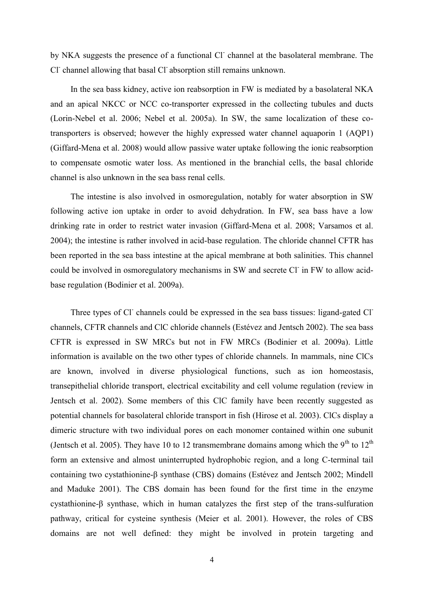by NKA suggests the presence of a functional Cl<sup>-</sup> channel at the basolateral membrane. The Cl<sup>-</sup> channel allowing that basal Cl<sup>-</sup> absorption still remains unknown.

In the sea bass kidney, active ion reabsorption in FW is mediated by a basolateral NKA and an apical NKCC or NCC co-transporter expressed in the collecting tubules and ducts (Lorin-Nebel et al. 2006; Nebel et al. 2005a). In SW, the same localization of these cotransporters is observed; however the highly expressed water channel aquaporin 1 (AQP1) (Giffard-Mena et al. 2008) would allow passive water uptake following the ionic reabsorption to compensate osmotic water loss. As mentioned in the branchial cells, the basal chloride channel is also unknown in the sea bass renal cells.

The intestine is also involved in osmoregulation, notably for water absorption in SW following active ion uptake in order to avoid dehydration. In FW, sea bass have a low drinking rate in order to restrict water invasion (Giffard-Mena et al. 2008; Varsamos et al. 2004); the intestine is rather involved in acid-base regulation. The chloride channel CFTR has been reported in the sea bass intestine at the apical membrane at both salinities. This channel could be involved in osmoregulatory mechanisms in SW and secrete Cl<sup>-</sup> in FW to allow acidbase regulation (Bodinier et al. 2009a).

Three types of Cl<sup>-</sup> channels could be expressed in the sea bass tissues: ligand-gated Cl<sup>-</sup> channels, CFTR channels and ClC chloride channels (Estévez and Jentsch 2002). The sea bass CFTR is expressed in SW MRCs but not in FW MRCs (Bodinier et al. 2009a). Little information is available on the two other types of chloride channels. In mammals, nine ClCs are known, involved in diverse physiological functions, such as ion homeostasis, transepithelial chloride transport, electrical excitability and cell volume regulation (review in Jentsch et al. 2002). Some members of this ClC family have been recently suggested as potential channels for basolateral chloride transport in fish (Hirose et al. 2003). ClCs display a dimeric structure with two individual pores on each monomer contained within one subunit (Jentsch et al. 2005). They have 10 to 12 transmembrane domains among which the 9<sup>th</sup> to 12<sup>th</sup> form an extensive and almost uninterrupted hydrophobic region, and a long C-terminal tail containing two cystathionine-β synthase (CBS) domains (Estévez and Jentsch 2002; Mindell and Maduke 2001). The CBS domain has been found for the first time in the enzyme cystathionine-β synthase, which in human catalyzes the first step of the trans-sulfuration pathway, critical for cysteine synthesis (Meier et al. 2001). However, the roles of CBS domains are not well defined: they might be involved in protein targeting and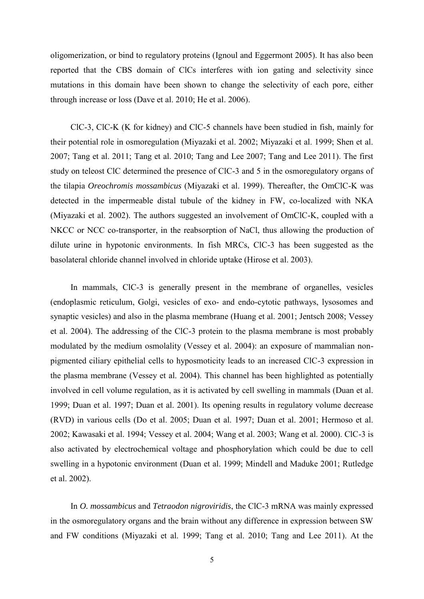oligomerization, or bind to regulatory proteins (Ignoul and Eggermont 2005). It has also been reported that the CBS domain of ClCs interferes with ion gating and selectivity since mutations in this domain have been shown to change the selectivity of each pore, either through increase or loss (Dave et al. 2010; He et al. 2006).

ClC-3, ClC-K (K for kidney) and ClC-5 channels have been studied in fish, mainly for their potential role in osmoregulation (Miyazaki et al. 2002; Miyazaki et al. 1999; Shen et al. 2007; Tang et al. 2011; Tang et al. 2010; Tang and Lee 2007; Tang and Lee 2011). The first study on teleost ClC determined the presence of ClC-3 and 5 in the osmoregulatory organs of the tilapia *Oreochromis mossambicus* (Miyazaki et al. 1999). Thereafter, the OmClC-K was detected in the impermeable distal tubule of the kidney in FW, co-localized with NKA (Miyazaki et al. 2002). The authors suggested an involvement of OmClC-K, coupled with a NKCC or NCC co-transporter, in the reabsorption of NaCl, thus allowing the production of dilute urine in hypotonic environments. In fish MRCs, ClC-3 has been suggested as the basolateral chloride channel involved in chloride uptake (Hirose et al. 2003).

In mammals, ClC-3 is generally present in the membrane of organelles, vesicles (endoplasmic reticulum, Golgi, vesicles of exo- and endo-cytotic pathways, lysosomes and synaptic vesicles) and also in the plasma membrane (Huang et al. 2001; Jentsch 2008; Vessey et al. 2004). The addressing of the ClC-3 protein to the plasma membrane is most probably modulated by the medium osmolality (Vessey et al. 2004): an exposure of mammalian nonpigmented ciliary epithelial cells to hyposmoticity leads to an increased ClC-3 expression in the plasma membrane (Vessey et al. 2004). This channel has been highlighted as potentially involved in cell volume regulation, as it is activated by cell swelling in mammals (Duan et al. 1999; Duan et al. 1997; Duan et al. 2001). Its opening results in regulatory volume decrease (RVD) in various cells (Do et al. 2005; Duan et al. 1997; Duan et al. 2001; Hermoso et al. 2002; Kawasaki et al. 1994; Vessey et al. 2004; Wang et al. 2003; Wang et al. 2000). ClC-3 is also activated by electrochemical voltage and phosphorylation which could be due to cell swelling in a hypotonic environment (Duan et al. 1999; Mindell and Maduke 2001; Rutledge et al. 2002).

In *O. mossambicus* and *Tetraodon nigroviridis*, the ClC-3 mRNA was mainly expressed in the osmoregulatory organs and the brain without any difference in expression between SW and FW conditions (Miyazaki et al. 1999; Tang et al. 2010; Tang and Lee 2011). At the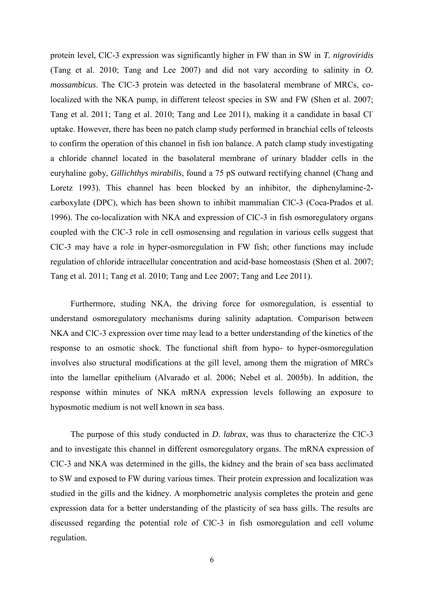protein level, ClC-3 expression was significantly higher in FW than in SW in *T. nigroviridis* (Tang et al. 2010; Tang and Lee 2007) and did not vary according to salinity in *O. mossambicus*. The ClC-3 protein was detected in the basolateral membrane of MRCs, colocalized with the NKA pump, in different teleost species in SW and FW (Shen et al. 2007; Tang et al. 2011; Tang et al. 2010; Tang and Lee 2011), making it a candidate in basal Cluptake. However, there has been no patch clamp study performed in branchial cells of teleosts to confirm the operation of this channel in fish ion balance. A patch clamp study investigating a chloride channel located in the basolateral membrane of urinary bladder cells in the euryhaline goby, *Gillichthys mirabilis*, found a 75 pS outward rectifying channel (Chang and Loretz 1993). This channel has been blocked by an inhibitor, the diphenylamine-2 carboxylate (DPC), which has been shown to inhibit mammalian ClC-3 (Coca-Prados et al. 1996). The co-localization with NKA and expression of ClC-3 in fish osmoregulatory organs coupled with the ClC-3 role in cell osmosensing and regulation in various cells suggest that ClC-3 may have a role in hyper-osmoregulation in FW fish; other functions may include regulation of chloride intracellular concentration and acid-base homeostasis (Shen et al. 2007; Tang et al. 2011; Tang et al. 2010; Tang and Lee 2007; Tang and Lee 2011).

Furthermore, studing NKA, the driving force for osmoregulation, is essential to understand osmoregulatory mechanisms during salinity adaptation. Comparison between NKA and ClC-3 expression over time may lead to a better understanding of the kinetics of the response to an osmotic shock. The functional shift from hypo- to hyper-osmoregulation involves also structural modifications at the gill level, among them the migration of MRCs into the lamellar epithelium (Alvarado et al. 2006; Nebel et al. 2005b). In addition, the response within minutes of NKA mRNA expression levels following an exposure to hyposmotic medium is not well known in sea bass.

The purpose of this study conducted in *D. labrax*, was thus to characterize the ClC-3 and to investigate this channel in different osmoregulatory organs. The mRNA expression of ClC-3 and NKA was determined in the gills, the kidney and the brain of sea bass acclimated to SW and exposed to FW during various times. Their protein expression and localization was studied in the gills and the kidney. A morphometric analysis completes the protein and gene expression data for a better understanding of the plasticity of sea bass gills. The results are discussed regarding the potential role of ClC-3 in fish osmoregulation and cell volume regulation.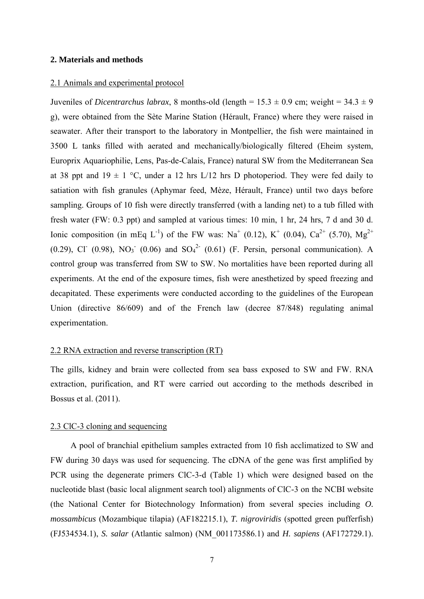#### **2. Materials and methods**

#### 2.1 Animals and experimental protocol

Juveniles of *Dicentrarchus labrax*, 8 months-old (length =  $15.3 \pm 0.9$  cm; weight =  $34.3 \pm 9$ ) g), were obtained from the Sète Marine Station (Hérault, France) where they were raised in seawater. After their transport to the laboratory in Montpellier, the fish were maintained in 3500 L tanks filled with aerated and mechanically/biologically filtered (Eheim system, Europrix Aquariophilie, Lens, Pas-de-Calais, France) natural SW from the Mediterranean Sea at 38 ppt and 19  $\pm$  1 °C, under a 12 hrs L/12 hrs D photoperiod. They were fed daily to satiation with fish granules (Aphymar feed, Mèze, Hérault, France) until two days before sampling. Groups of 10 fish were directly transferred (with a landing net) to a tub filled with fresh water (FW: 0.3 ppt) and sampled at various times: 10 min, 1 hr, 24 hrs, 7 d and 30 d. Ionic composition (in mEq L<sup>-1</sup>) of the FW was: Na<sup>+</sup> (0.12), K<sup>+</sup> (0.04), Ca<sup>2+</sup> (5.70), Mg<sup>2+</sup>  $(0.29)$ , Cl<sup>-</sup>  $(0.98)$ , NO<sub>3</sub><sup>-</sup>  $(0.06)$  and SO<sub>4</sub><sup>2</sup><sup>-</sup>  $(0.61)$  (F. Persin, personal communication). A control group was transferred from SW to SW. No mortalities have been reported during all experiments. At the end of the exposure times, fish were anesthetized by speed freezing and decapitated. These experiments were conducted according to the guidelines of the European Union (directive 86/609) and of the French law (decree 87/848) regulating animal experimentation.

#### 2.2 RNA extraction and reverse transcription (RT)

The gills, kidney and brain were collected from sea bass exposed to SW and FW. RNA extraction, purification, and RT were carried out according to the methods described in Bossus et al. (2011).

#### 2.3 ClC-3 cloning and sequencing

A pool of branchial epithelium samples extracted from 10 fish acclimatized to SW and FW during 30 days was used for sequencing. The cDNA of the gene was first amplified by PCR using the degenerate primers ClC-3-d (Table 1) which were designed based on the nucleotide blast (basic local alignment search tool) alignments of ClC-3 on the NCBI website (the National Center for Biotechnology Information) from several species including *O. mossambicus* (Mozambique tilapia) (AF182215.1), *T. nigroviridis* (spotted green pufferfish) (FJ534534.1), *S. salar* (Atlantic salmon) (NM\_001173586.1) and *H. sapiens* (AF172729.1).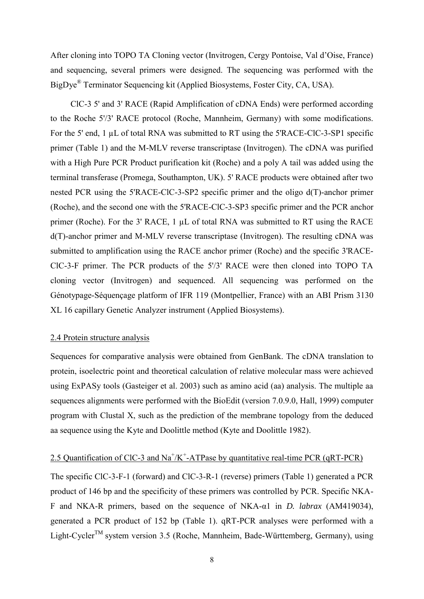After cloning into TOPO TA Cloning vector (Invitrogen, Cergy Pontoise, Val d'Oise, France) and sequencing, several primers were designed. The sequencing was performed with the BigDye<sup>®</sup> Terminator Sequencing kit (Applied Biosystems, Foster City, CA, USA).

ClC-3 5' and 3' RACE (Rapid Amplification of cDNA Ends) were performed according to the Roche 5'/3' RACE protocol (Roche, Mannheim, Germany) with some modifications. For the 5' end, 1 µL of total RNA was submitted to RT using the 5'RACE-ClC-3-SP1 specific primer (Table 1) and the M-MLV reverse transcriptase (Invitrogen). The cDNA was purified with a High Pure PCR Product purification kit (Roche) and a poly A tail was added using the terminal transferase (Promega, Southampton, UK). 5' RACE products were obtained after two nested PCR using the 5'RACE-ClC-3-SP2 specific primer and the oligo d(T)-anchor primer (Roche), and the second one with the 5'RACE-ClC-3-SP3 specific primer and the PCR anchor primer (Roche). For the 3' RACE, 1 µL of total RNA was submitted to RT using the RACE d(T)-anchor primer and M-MLV reverse transcriptase (Invitrogen). The resulting cDNA was submitted to amplification using the RACE anchor primer (Roche) and the specific 3'RACE-ClC-3-F primer. The PCR products of the 5'/3' RACE were then cloned into TOPO TA cloning vector (Invitrogen) and sequenced. All sequencing was performed on the Génotypage-Séquençage platform of IFR 119 (Montpellier, France) with an ABI Prism 3130 XL 16 capillary Genetic Analyzer instrument (Applied Biosystems).

#### 2.4 Protein structure analysis

Sequences for comparative analysis were obtained from GenBank. The cDNA translation to protein, isoelectric point and theoretical calculation of relative molecular mass were achieved using ExPASy tools (Gasteiger et al. 2003) such as amino acid (aa) analysis. The multiple aa sequences alignments were performed with the BioEdit (version 7.0.9.0, Hall, 1999) computer program with Clustal X, such as the prediction of the membrane topology from the deduced aa sequence using the Kyte and Doolittle method (Kyte and Doolittle 1982).

# 2.5 Quantification of CIC-3 and  $Na^+/K^+$ -ATPase by quantitative real-time PCR (qRT-PCR)

The specific ClC-3-F-1 (forward) and ClC-3-R-1 (reverse) primers (Table 1) generated a PCR product of 146 bp and the specificity of these primers was controlled by PCR. Specific NKA-F and NKA-R primers, based on the sequence of NKA-α1 in *D. labrax* (AM419034), generated a PCR product of 152 bp (Table 1). qRT-PCR analyses were performed with a Light-Cycler<sup>TM</sup> system version 3.5 (Roche, Mannheim, Bade-Württemberg, Germany), using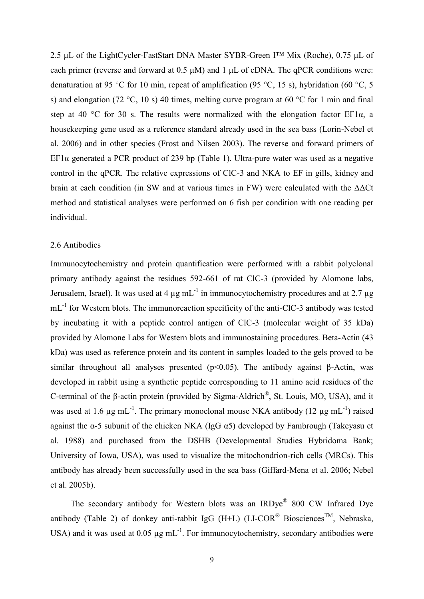2.5 μL of the LightCycler-FastStart DNA Master SYBR-Green I™ Mix (Roche), 0.75 μL of each primer (reverse and forward at 0.5 μM) and 1 μL of cDNA. The qPCR conditions were: denaturation at 95 °C for 10 min, repeat of amplification (95 °C, 15 s), hybridation (60 °C, 5 s) and elongation (72 °C, 10 s) 40 times, melting curve program at 60 °C for 1 min and final step at 40 °C for 30 s. The results were normalized with the elongation factor EF1 $\alpha$ , a housekeeping gene used as a reference standard already used in the sea bass (Lorin-Nebel et al. 2006) and in other species (Frost and Nilsen 2003). The reverse and forward primers of EF1 $\alpha$  generated a PCR product of 239 bp (Table 1). Ultra-pure water was used as a negative control in the qPCR. The relative expressions of ClC-3 and NKA to EF in gills, kidney and brain at each condition (in SW and at various times in FW) were calculated with the ΔΔCt method and statistical analyses were performed on 6 fish per condition with one reading per individual.

### 2.6 Antibodies

Immunocytochemistry and protein quantification were performed with a rabbit polyclonal primary antibody against the residues 592-661 of rat ClC-3 (provided by Alomone labs, Jerusalem, Israel). It was used at 4  $\mu$ g mL<sup>-1</sup> in immunocytochemistry procedures and at 2.7  $\mu$ g mL<sup>-1</sup> for Western blots. The immunoreaction specificity of the anti-ClC-3 antibody was tested by incubating it with a peptide control antigen of ClC-3 (molecular weight of 35 kDa) provided by Alomone Labs for Western blots and immunostaining procedures. Beta-Actin (43 kDa) was used as reference protein and its content in samples loaded to the gels proved to be similar throughout all analyses presented ( $p$ <0.05). The antibody against  $\beta$ -Actin, was developed in rabbit using a synthetic peptide corresponding to 11 amino acid residues of the C-terminal of the β-actin protein (provided by Sigma-Aldrich<sup>®</sup>, St. Louis, MO, USA), and it was used at 1.6  $\mu$ g mL<sup>-1</sup>. The primary monoclonal mouse NKA antibody (12  $\mu$ g mL<sup>-1</sup>) raised against the  $\alpha$ -5 subunit of the chicken NKA (IgG  $\alpha$ 5) developed by Fambrough (Takeyasu et al. 1988) and purchased from the DSHB (Developmental Studies Hybridoma Bank; University of Iowa, USA), was used to visualize the mitochondrion-rich cells (MRCs). This antibody has already been successfully used in the sea bass (Giffard-Mena et al. 2006; Nebel et al. 2005b).

The secondary antibody for Western blots was an IRDye® 800 CW Infrared Dye antibody (Table 2) of donkey anti-rabbit IgG (H+L) (LI-COR<sup>®</sup> Biosciences<sup>TM</sup>, Nebraska, USA) and it was used at  $0.05 \mu$ g mL<sup>-1</sup>. For immunocytochemistry, secondary antibodies were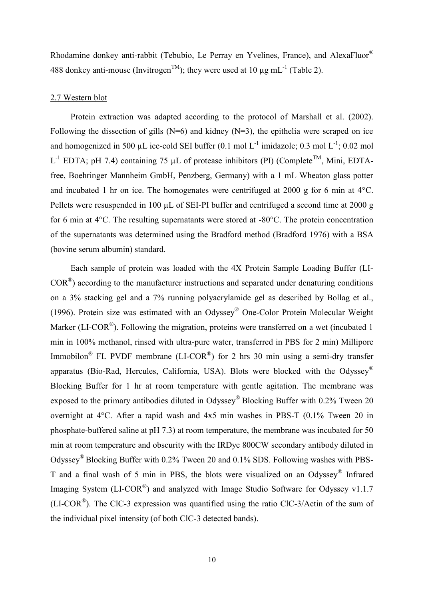Rhodamine donkey anti-rabbit (Tebubio, Le Perray en Yvelines, France), and AlexaFluor® 488 donkey anti-mouse (Invitrogen<sup>TM</sup>); they were used at 10  $\mu$ g mL<sup>-1</sup> (Table 2).

# 2.7 Western blot

Protein extraction was adapted according to the protocol of Marshall et al. (2002). Following the dissection of gills  $(N=6)$  and kidney  $(N=3)$ , the epithelia were scraped on ice and homogenized in 500 µL ice-cold SEI buffer  $(0.1 \text{ mol L}^{-1}$  imidazole; 0.3 mol L<sup>-1</sup>; 0.02 mol L<sup>-1</sup> EDTA; pH 7.4) containing 75 µL of protease inhibitors (PI) (Complete<sup>TM</sup>, Mini, EDTAfree, Boehringer Mannheim GmbH, Penzberg, Germany) with a 1 mL Wheaton glass potter and incubated 1 hr on ice. The homogenates were centrifuged at 2000 g for 6 min at 4°C. Pellets were resuspended in 100 µL of SEI-PI buffer and centrifuged a second time at 2000 g for 6 min at 4°C. The resulting supernatants were stored at -80°C. The protein concentration of the supernatants was determined using the Bradford method (Bradford 1976) with a BSA (bovine serum albumin) standard.

Each sample of protein was loaded with the 4X Protein Sample Loading Buffer (LI- $COR<sup>®</sup>$ ) according to the manufacturer instructions and separated under denaturing conditions on a 3% stacking gel and a 7% running polyacrylamide gel as described by Bollag et al., (1996). Protein size was estimated with an Odyssey® One-Color Protein Molecular Weight Marker (LI-COR<sup>®</sup>). Following the migration, proteins were transferred on a wet (incubated 1 min in 100% methanol, rinsed with ultra-pure water, transferred in PBS for 2 min) Millipore Immobilon<sup>®</sup> FL PVDF membrane (LI-COR<sup>®</sup>) for 2 hrs 30 min using a semi-dry transfer apparatus (Bio-Rad, Hercules, California, USA). Blots were blocked with the Odyssey® Blocking Buffer for 1 hr at room temperature with gentle agitation. The membrane was exposed to the primary antibodies diluted in Odyssey<sup>®</sup> Blocking Buffer with 0.2% Tween 20 overnight at 4°C. After a rapid wash and 4x5 min washes in PBS-T (0.1% Tween 20 in phosphate-buffered saline at pH 7.3) at room temperature, the membrane was incubated for 50 min at room temperature and obscurity with the IRDye 800CW secondary antibody diluted in Odyssey® Blocking Buffer with 0.2% Tween 20 and 0.1% SDS. Following washes with PBS-T and a final wash of 5 min in PBS, the blots were visualized on an Odyssey® Infrared Imaging System ( $LI-COR^*$ ) and analyzed with Image Studio Software for Odyssey v1.1.7 (LI-COR<sup>®</sup>). The ClC-3 expression was quantified using the ratio ClC-3/Actin of the sum of the individual pixel intensity (of both ClC-3 detected bands).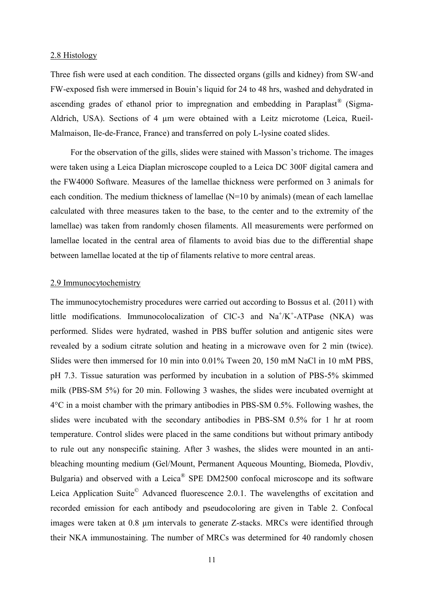#### 2.8 Histology

Three fish were used at each condition. The dissected organs (gills and kidney) from SW-and FW-exposed fish were immersed in Bouin's liquid for 24 to 48 hrs, washed and dehydrated in ascending grades of ethanol prior to impregnation and embedding in Paraplast® (Sigma-Aldrich, USA). Sections of 4  $\mu$ m were obtained with a Leitz microtome (Leica, Rueil-Malmaison, Ile-de-France, France) and transferred on poly L-lysine coated slides.

For the observation of the gills, slides were stained with Masson's trichome. The images were taken using a Leica Diaplan microscope coupled to a Leica DC 300F digital camera and the FW4000 Software. Measures of the lamellae thickness were performed on 3 animals for each condition. The medium thickness of lamellae (N=10 by animals) (mean of each lamellae calculated with three measures taken to the base, to the center and to the extremity of the lamellae) was taken from randomly chosen filaments. All measurements were performed on lamellae located in the central area of filaments to avoid bias due to the differential shape between lamellae located at the tip of filaments relative to more central areas.

### 2.9 Immunocytochemistry

The immunocytochemistry procedures were carried out according to Bossus et al. (2011) with little modifications. Immunocolocalization of ClC-3 and  $Na^+/K^+$ -ATPase (NKA) was performed. Slides were hydrated, washed in PBS buffer solution and antigenic sites were revealed by a sodium citrate solution and heating in a microwave oven for 2 min (twice). Slides were then immersed for 10 min into 0.01% Tween 20, 150 mM NaCl in 10 mM PBS, pH 7.3. Tissue saturation was performed by incubation in a solution of PBS-5% skimmed milk (PBS-SM 5%) for 20 min. Following 3 washes, the slides were incubated overnight at 4°C in a moist chamber with the primary antibodies in PBS-SM 0.5%. Following washes, the slides were incubated with the secondary antibodies in PBS-SM 0.5% for 1 hr at room temperature. Control slides were placed in the same conditions but without primary antibody to rule out any nonspecific staining. After 3 washes, the slides were mounted in an antibleaching mounting medium (Gel/Mount, Permanent Aqueous Mounting, Biomeda, Plovdiv, Bulgaria) and observed with a Leica® SPE DM2500 confocal microscope and its software Leica Application Suite<sup>©</sup> Advanced fluorescence 2.0.1. The wavelengths of excitation and recorded emission for each antibody and pseudocoloring are given in Table 2. Confocal images were taken at 0.8 µm intervals to generate Z-stacks. MRCs were identified through their NKA immunostaining. The number of MRCs was determined for 40 randomly chosen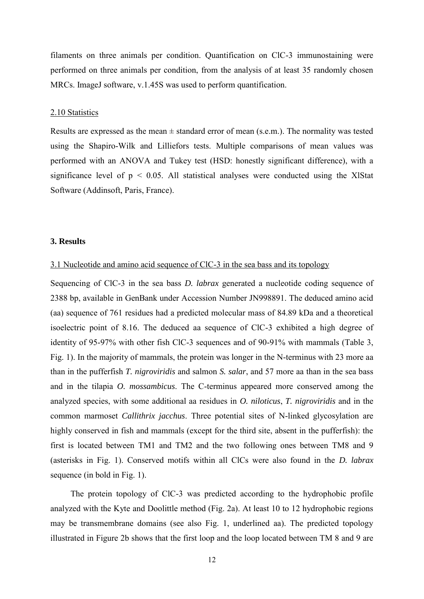filaments on three animals per condition. Quantification on ClC-3 immunostaining were performed on three animals per condition, from the analysis of at least 35 randomly chosen MRCs. ImageJ software, v.1.45S was used to perform quantification.

#### 2.10 Statistics

Results are expressed as the mean  $\pm$  standard error of mean (s.e.m.). The normality was tested using the Shapiro-Wilk and Lilliefors tests. Multiple comparisons of mean values was performed with an ANOVA and Tukey test (HSD: honestly significant difference), with a significance level of  $p \le 0.05$ . All statistical analyses were conducted using the XIStat Software (Addinsoft, Paris, France).

#### **3. Results**

### 3.1 Nucleotide and amino acid sequence of ClC-3 in the sea bass and its topology

Sequencing of ClC-3 in the sea bass *D. labrax* generated a nucleotide coding sequence of 2388 bp, available in GenBank under Accession Number JN998891. The deduced amino acid (aa) sequence of 761 residues had a predicted molecular mass of 84.89 kDa and a theoretical isoelectric point of 8.16. The deduced aa sequence of ClC-3 exhibited a high degree of identity of 95-97% with other fish ClC-3 sequences and of 90-91% with mammals (Table 3, Fig. 1). In the majority of mammals, the protein was longer in the N-terminus with 23 more aa than in the pufferfish *T. nigroviridis* and salmon *S. salar*, and 57 more aa than in the sea bass and in the tilapia *O. mossambicus*. The C-terminus appeared more conserved among the analyzed species, with some additional aa residues in *O. niloticus*, *T. nigroviridis* and in the common marmoset *Callithrix jacchus*. Three potential sites of N-linked glycosylation are highly conserved in fish and mammals (except for the third site, absent in the pufferfish): the first is located between TM1 and TM2 and the two following ones between TM8 and 9 (asterisks in Fig. 1). Conserved motifs within all ClCs were also found in the *D. labrax* sequence (in bold in Fig. 1).

The protein topology of ClC-3 was predicted according to the hydrophobic profile analyzed with the Kyte and Doolittle method (Fig. 2a). At least 10 to 12 hydrophobic regions may be transmembrane domains (see also Fig. 1, underlined aa). The predicted topology illustrated in Figure 2b shows that the first loop and the loop located between TM 8 and 9 are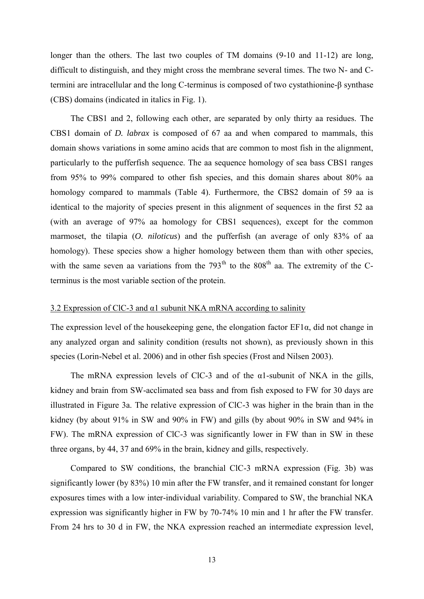longer than the others. The last two couples of TM domains  $(9-10 \text{ and } 11-12)$  are long, difficult to distinguish, and they might cross the membrane several times. The two N- and Ctermini are intracellular and the long C-terminus is composed of two cystathionine-β synthase (CBS) domains (indicated in italics in Fig. 1).

The CBS1 and 2, following each other, are separated by only thirty aa residues. The CBS1 domain of *D. labrax* is composed of 67 aa and when compared to mammals, this domain shows variations in some amino acids that are common to most fish in the alignment, particularly to the pufferfish sequence. The aa sequence homology of sea bass CBS1 ranges from 95% to 99% compared to other fish species, and this domain shares about 80% aa homology compared to mammals (Table 4). Furthermore, the CBS2 domain of 59 aa is identical to the majority of species present in this alignment of sequences in the first 52 aa (with an average of 97% aa homology for CBS1 sequences), except for the common marmoset, the tilapia (*O. niloticus*) and the pufferfish (an average of only 83% of aa homology). These species show a higher homology between them than with other species, with the same seven aa variations from the  $793<sup>th</sup>$  to the  $808<sup>th</sup>$  aa. The extremity of the Cterminus is the most variable section of the protein.

### 3.2 Expression of ClC-3 and  $\alpha$ 1 subunit NKA mRNA according to salinity

The expression level of the housekeeping gene, the elongation factor EF1α, did not change in any analyzed organ and salinity condition (results not shown), as previously shown in this species (Lorin-Nebel et al. 2006) and in other fish species (Frost and Nilsen 2003).

The mRNA expression levels of ClC-3 and of the  $\alpha$ 1-subunit of NKA in the gills, kidney and brain from SW-acclimated sea bass and from fish exposed to FW for 30 days are illustrated in Figure 3a. The relative expression of ClC-3 was higher in the brain than in the kidney (by about 91% in SW and 90% in FW) and gills (by about 90% in SW and 94% in FW). The mRNA expression of ClC-3 was significantly lower in FW than in SW in these three organs, by 44, 37 and 69% in the brain, kidney and gills, respectively.

Compared to SW conditions, the branchial ClC-3 mRNA expression (Fig. 3b) was significantly lower (by 83%) 10 min after the FW transfer, and it remained constant for longer exposures times with a low inter-individual variability. Compared to SW, the branchial NKA expression was significantly higher in FW by 70-74% 10 min and 1 hr after the FW transfer. From 24 hrs to 30 d in FW, the NKA expression reached an intermediate expression level,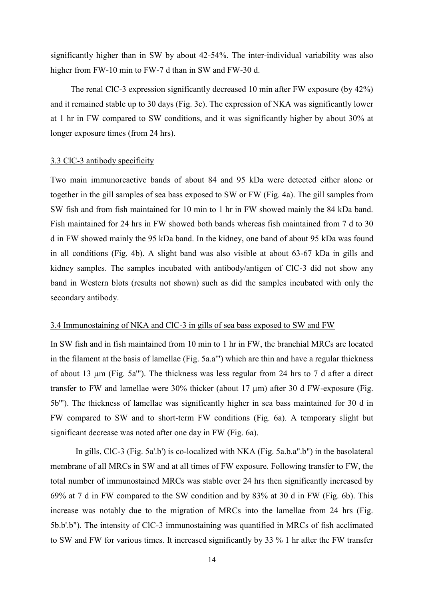significantly higher than in SW by about 42-54%. The inter-individual variability was also higher from FW-10 min to FW-7 d than in SW and FW-30 d.

The renal ClC-3 expression significantly decreased 10 min after FW exposure (by 42%) and it remained stable up to 30 days (Fig. 3c). The expression of NKA was significantly lower at 1 hr in FW compared to SW conditions, and it was significantly higher by about 30% at longer exposure times (from 24 hrs).

#### 3.3 ClC-3 antibody specificity

Two main immunoreactive bands of about 84 and 95 kDa were detected either alone or together in the gill samples of sea bass exposed to SW or FW (Fig. 4a). The gill samples from SW fish and from fish maintained for 10 min to 1 hr in FW showed mainly the 84 kDa band. Fish maintained for 24 hrs in FW showed both bands whereas fish maintained from 7 d to 30 d in FW showed mainly the 95 kDa band. In the kidney, one band of about 95 kDa was found in all conditions (Fig. 4b). A slight band was also visible at about 63-67 kDa in gills and kidney samples. The samples incubated with antibody/antigen of ClC-3 did not show any band in Western blots (results not shown) such as did the samples incubated with only the secondary antibody.

#### 3.4 Immunostaining of NKA and ClC-3 in gills of sea bass exposed to SW and FW

In SW fish and in fish maintained from 10 min to 1 hr in FW, the branchial MRCs are located in the filament at the basis of lamellae (Fig. 5a.a'") which are thin and have a regular thickness of about 13 µm (Fig. 5a'"). The thickness was less regular from 24 hrs to 7 d after a direct transfer to FW and lamellae were 30% thicker (about 17 µm) after 30 d FW-exposure (Fig. 5b'"). The thickness of lamellae was significantly higher in sea bass maintained for 30 d in FW compared to SW and to short-term FW conditions (Fig. 6a). A temporary slight but significant decrease was noted after one day in FW (Fig. 6a).

In gills, ClC-3 (Fig. 5a'.b') is co-localized with NKA (Fig. 5a.b.a".b") in the basolateral membrane of all MRCs in SW and at all times of FW exposure. Following transfer to FW, the total number of immunostained MRCs was stable over 24 hrs then significantly increased by 69% at 7 d in FW compared to the SW condition and by 83% at 30 d in FW (Fig. 6b). This increase was notably due to the migration of MRCs into the lamellae from 24 hrs (Fig. 5b.b'.b"). The intensity of ClC-3 immunostaining was quantified in MRCs of fish acclimated to SW and FW for various times. It increased significantly by 33 % 1 hr after the FW transfer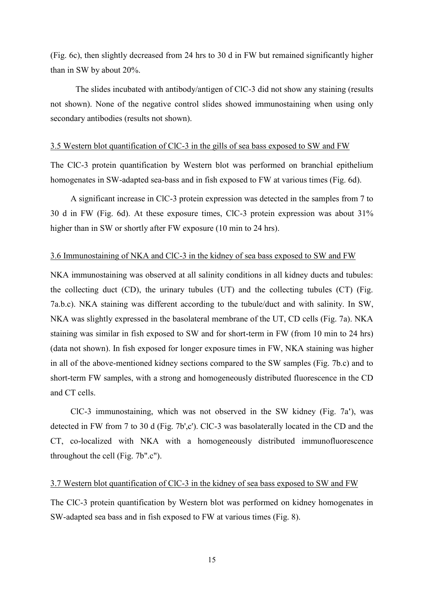(Fig. 6c), then slightly decreased from 24 hrs to 30 d in FW but remained significantly higher than in SW by about 20%.

The slides incubated with antibody/antigen of ClC-3 did not show any staining (results not shown). None of the negative control slides showed immunostaining when using only secondary antibodies (results not shown).

#### 3.5 Western blot quantification of ClC-3 in the gills of sea bass exposed to SW and FW

The ClC-3 protein quantification by Western blot was performed on branchial epithelium homogenates in SW-adapted sea-bass and in fish exposed to FW at various times (Fig. 6d).

A significant increase in ClC-3 protein expression was detected in the samples from 7 to 30 d in FW (Fig. 6d). At these exposure times, ClC-3 protein expression was about 31% higher than in SW or shortly after FW exposure (10 min to 24 hrs).

#### 3.6 Immunostaining of NKA and ClC-3 in the kidney of sea bass exposed to SW and FW

NKA immunostaining was observed at all salinity conditions in all kidney ducts and tubules: the collecting duct (CD), the urinary tubules (UT) and the collecting tubules (CT) (Fig. 7a.b.c). NKA staining was different according to the tubule/duct and with salinity. In SW, NKA was slightly expressed in the basolateral membrane of the UT, CD cells (Fig. 7a). NKA staining was similar in fish exposed to SW and for short-term in FW (from 10 min to 24 hrs) (data not shown). In fish exposed for longer exposure times in FW, NKA staining was higher in all of the above-mentioned kidney sections compared to the SW samples (Fig. 7b.c) and to short-term FW samples, with a strong and homogeneously distributed fluorescence in the CD and CT cells.

ClC-3 immunostaining, which was not observed in the SW kidney (Fig. 7a**'**), was detected in FW from 7 to 30 d (Fig. 7b',c'). ClC-3 was basolaterally located in the CD and the CT, co-localized with NKA with a homogeneously distributed immunofluorescence throughout the cell (Fig. 7b".c").

#### 3.7 Western blot quantification of ClC-3 in the kidney of sea bass exposed to SW and FW

The ClC-3 protein quantification by Western blot was performed on kidney homogenates in SW-adapted sea bass and in fish exposed to FW at various times (Fig. 8).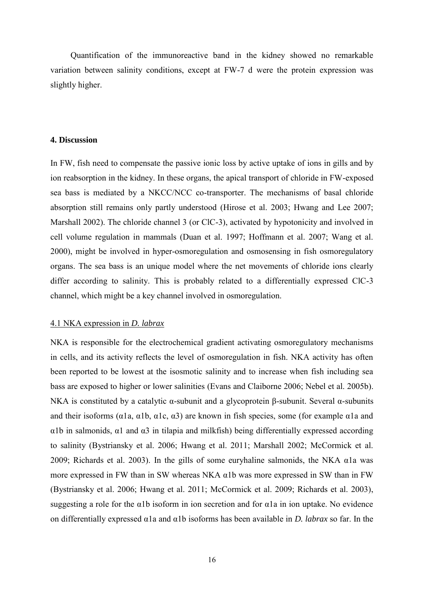Quantification of the immunoreactive band in the kidney showed no remarkable variation between salinity conditions, except at FW-7 d were the protein expression was slightly higher.

#### **4. Discussion**

In FW, fish need to compensate the passive ionic loss by active uptake of ions in gills and by ion reabsorption in the kidney. In these organs, the apical transport of chloride in FW-exposed sea bass is mediated by a NKCC/NCC co-transporter. The mechanisms of basal chloride absorption still remains only partly understood (Hirose et al. 2003; Hwang and Lee 2007; Marshall 2002). The chloride channel 3 (or ClC-3), activated by hypotonicity and involved in cell volume regulation in mammals (Duan et al. 1997; Hoffmann et al. 2007; Wang et al. 2000), might be involved in hyper-osmoregulation and osmosensing in fish osmoregulatory organs. The sea bass is an unique model where the net movements of chloride ions clearly differ according to salinity. This is probably related to a differentially expressed ClC-3 channel, which might be a key channel involved in osmoregulation.

#### 4.1 NKA expression in *D. labrax*

NKA is responsible for the electrochemical gradient activating osmoregulatory mechanisms in cells, and its activity reflects the level of osmoregulation in fish. NKA activity has often been reported to be lowest at the isosmotic salinity and to increase when fish including sea bass are exposed to higher or lower salinities (Evans and Claiborne 2006; Nebel et al. 2005b). NKA is constituted by a catalytic α-subunit and a glycoprotein β-subunit. Several α-subunits and their isoforms ( $\alpha$ 1a,  $\alpha$ 1b,  $\alpha$ 1c,  $\alpha$ 3) are known in fish species, some (for example  $\alpha$ 1a and α1b in salmonids, α1 and α3 in tilapia and milkfish) being differentially expressed according to salinity (Bystriansky et al. 2006; Hwang et al. 2011; Marshall 2002; McCormick et al. 2009; Richards et al. 2003). In the gills of some euryhaline salmonids, the NKA  $\alpha$ la was more expressed in FW than in SW whereas NKA α1b was more expressed in SW than in FW (Bystriansky et al. 2006; Hwang et al. 2011; McCormick et al. 2009; Richards et al. 2003), suggesting a role for the  $\alpha$ 1b isoform in ion secretion and for  $\alpha$ 1a in ion uptake. No evidence on differentially expressed α1a and α1b isoforms has been available in *D. labrax* so far. In the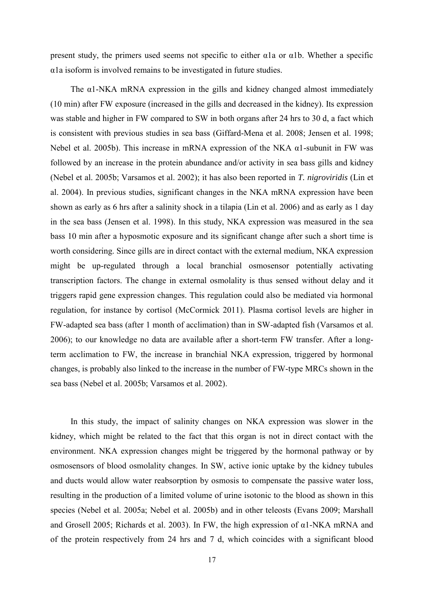present study, the primers used seems not specific to either  $\alpha$ 1a or  $\alpha$ 1b. Whether a specific α1a isoform is involved remains to be investigated in future studies.

The  $\alpha$ 1-NKA mRNA expression in the gills and kidney changed almost immediately (10 min) after FW exposure (increased in the gills and decreased in the kidney). Its expression was stable and higher in FW compared to SW in both organs after 24 hrs to 30 d, a fact which is consistent with previous studies in sea bass (Giffard-Mena et al. 2008; Jensen et al. 1998; Nebel et al. 2005b). This increase in mRNA expression of the NKA α1-subunit in FW was followed by an increase in the protein abundance and/or activity in sea bass gills and kidney (Nebel et al. 2005b; Varsamos et al. 2002); it has also been reported in *T. nigroviridis* (Lin et al. 2004). In previous studies, significant changes in the NKA mRNA expression have been shown as early as 6 hrs after a salinity shock in a tilapia (Lin et al. 2006) and as early as 1 day in the sea bass (Jensen et al. 1998). In this study, NKA expression was measured in the sea bass 10 min after a hyposmotic exposure and its significant change after such a short time is worth considering. Since gills are in direct contact with the external medium, NKA expression might be up-regulated through a local branchial osmosensor potentially activating transcription factors. The change in external osmolality is thus sensed without delay and it triggers rapid gene expression changes. This regulation could also be mediated via hormonal regulation, for instance by cortisol (McCormick 2011). Plasma cortisol levels are higher in FW-adapted sea bass (after 1 month of acclimation) than in SW-adapted fish (Varsamos et al. 2006); to our knowledge no data are available after a short-term FW transfer. After a longterm acclimation to FW, the increase in branchial NKA expression, triggered by hormonal changes, is probably also linked to the increase in the number of FW-type MRCs shown in the sea bass (Nebel et al. 2005b; Varsamos et al. 2002).

In this study, the impact of salinity changes on NKA expression was slower in the kidney, which might be related to the fact that this organ is not in direct contact with the environment. NKA expression changes might be triggered by the hormonal pathway or by osmosensors of blood osmolality changes. In SW, active ionic uptake by the kidney tubules and ducts would allow water reabsorption by osmosis to compensate the passive water loss, resulting in the production of a limited volume of urine isotonic to the blood as shown in this species (Nebel et al. 2005a; Nebel et al. 2005b) and in other teleosts (Evans 2009; Marshall and Grosell 2005; Richards et al. 2003). In FW, the high expression of α1-NKA mRNA and of the protein respectively from 24 hrs and 7 d, which coincides with a significant blood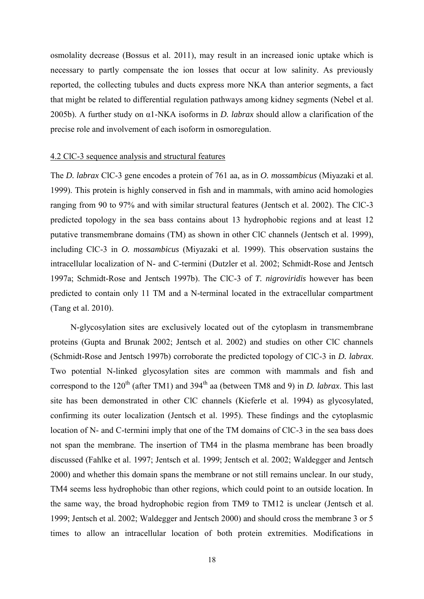osmolality decrease (Bossus et al. 2011), may result in an increased ionic uptake which is necessary to partly compensate the ion losses that occur at low salinity. As previously reported, the collecting tubules and ducts express more NKA than anterior segments, a fact that might be related to differential regulation pathways among kidney segments (Nebel et al. 2005b). A further study on α1-NKA isoforms in *D. labrax* should allow a clarification of the precise role and involvement of each isoform in osmoregulation.

#### 4.2 ClC-3 sequence analysis and structural features

The *D. labrax* ClC-3 gene encodes a protein of 761 aa, as in *O. mossambicus* (Miyazaki et al. 1999). This protein is highly conserved in fish and in mammals, with amino acid homologies ranging from 90 to 97% and with similar structural features (Jentsch et al. 2002). The ClC-3 predicted topology in the sea bass contains about 13 hydrophobic regions and at least 12 putative transmembrane domains (TM) as shown in other ClC channels (Jentsch et al. 1999), including ClC-3 in *O. mossambicus* (Miyazaki et al. 1999). This observation sustains the intracellular localization of N- and C-termini (Dutzler et al. 2002; Schmidt-Rose and Jentsch 1997a; Schmidt-Rose and Jentsch 1997b). The ClC-3 of *T. nigroviridis* however has been predicted to contain only 11 TM and a N-terminal located in the extracellular compartment (Tang et al. 2010).

N-glycosylation sites are exclusively located out of the cytoplasm in transmembrane proteins (Gupta and Brunak 2002; Jentsch et al. 2002) and studies on other ClC channels (Schmidt-Rose and Jentsch 1997b) corroborate the predicted topology of ClC-3 in *D. labrax*. Two potential N-linked glycosylation sites are common with mammals and fish and correspond to the 120<sup>th</sup> (after TM1) and  $394<sup>th</sup>$  aa (between TM8 and 9) in *D. labrax*. This last site has been demonstrated in other ClC channels (Kieferle et al. 1994) as glycosylated, confirming its outer localization (Jentsch et al. 1995). These findings and the cytoplasmic location of N- and C-termini imply that one of the TM domains of ClC-3 in the sea bass does not span the membrane. The insertion of TM4 in the plasma membrane has been broadly discussed (Fahlke et al. 1997; Jentsch et al. 1999; Jentsch et al. 2002; Waldegger and Jentsch 2000) and whether this domain spans the membrane or not still remains unclear. In our study, TM4 seems less hydrophobic than other regions, which could point to an outside location. In the same way, the broad hydrophobic region from TM9 to TM12 is unclear (Jentsch et al. 1999; Jentsch et al. 2002; Waldegger and Jentsch 2000) and should cross the membrane 3 or 5 times to allow an intracellular location of both protein extremities. Modifications in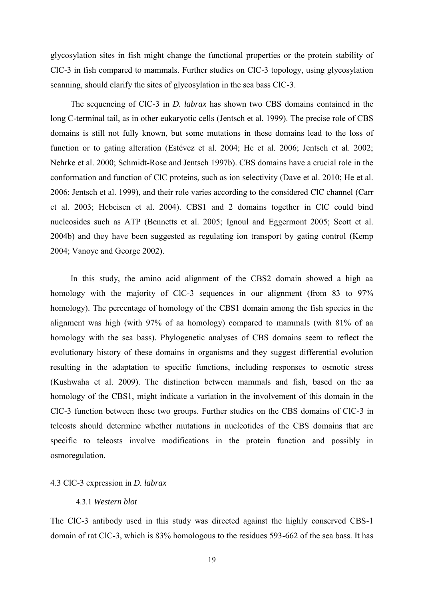glycosylation sites in fish might change the functional properties or the protein stability of ClC-3 in fish compared to mammals. Further studies on ClC-3 topology, using glycosylation scanning, should clarify the sites of glycosylation in the sea bass ClC-3.

The sequencing of ClC-3 in *D. labrax* has shown two CBS domains contained in the long C-terminal tail, as in other eukaryotic cells (Jentsch et al. 1999). The precise role of CBS domains is still not fully known, but some mutations in these domains lead to the loss of function or to gating alteration (Estévez et al. 2004; He et al. 2006; Jentsch et al. 2002; Nehrke et al. 2000; Schmidt-Rose and Jentsch 1997b). CBS domains have a crucial role in the conformation and function of ClC proteins, such as ion selectivity (Dave et al. 2010; He et al. 2006; Jentsch et al. 1999), and their role varies according to the considered ClC channel (Carr et al. 2003; Hebeisen et al. 2004). CBS1 and 2 domains together in ClC could bind nucleosides such as ATP (Bennetts et al. 2005; Ignoul and Eggermont 2005; Scott et al. 2004b) and they have been suggested as regulating ion transport by gating control (Kemp 2004; Vanoye and George 2002).

In this study, the amino acid alignment of the CBS2 domain showed a high aa homology with the majority of ClC-3 sequences in our alignment (from 83 to 97%) homology). The percentage of homology of the CBS1 domain among the fish species in the alignment was high (with 97% of aa homology) compared to mammals (with 81% of aa homology with the sea bass). Phylogenetic analyses of CBS domains seem to reflect the evolutionary history of these domains in organisms and they suggest differential evolution resulting in the adaptation to specific functions, including responses to osmotic stress (Kushwaha et al. 2009). The distinction between mammals and fish, based on the aa homology of the CBS1, might indicate a variation in the involvement of this domain in the ClC-3 function between these two groups. Further studies on the CBS domains of ClC-3 in teleosts should determine whether mutations in nucleotides of the CBS domains that are specific to teleosts involve modifications in the protein function and possibly in osmoregulation.

#### 4.3 ClC-3 expression in *D. labrax*

### 4.3.1 *Western blot*

The ClC-3 antibody used in this study was directed against the highly conserved CBS-1 domain of rat ClC-3, which is 83% homologous to the residues 593-662 of the sea bass. It has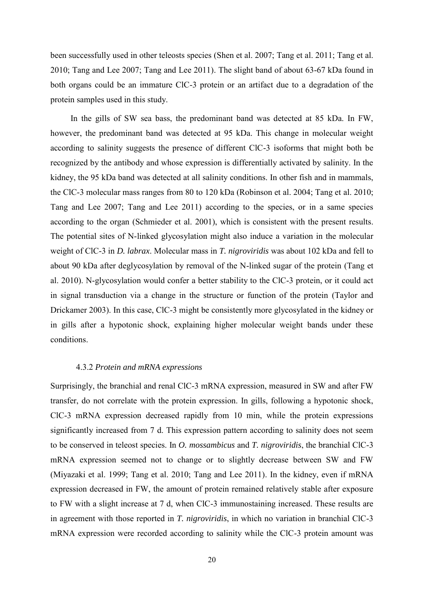been successfully used in other teleosts species (Shen et al. 2007; Tang et al. 2011; Tang et al. 2010; Tang and Lee 2007; Tang and Lee 2011). The slight band of about 63-67 kDa found in both organs could be an immature ClC-3 protein or an artifact due to a degradation of the protein samples used in this study.

In the gills of SW sea bass, the predominant band was detected at 85 kDa. In FW, however, the predominant band was detected at 95 kDa. This change in molecular weight according to salinity suggests the presence of different ClC-3 isoforms that might both be recognized by the antibody and whose expression is differentially activated by salinity. In the kidney, the 95 kDa band was detected at all salinity conditions. In other fish and in mammals, the ClC-3 molecular mass ranges from 80 to 120 kDa (Robinson et al. 2004; Tang et al. 2010; Tang and Lee 2007; Tang and Lee 2011) according to the species, or in a same species according to the organ (Schmieder et al. 2001), which is consistent with the present results. The potential sites of N-linked glycosylation might also induce a variation in the molecular weight of ClC-3 in *D. labrax*. Molecular mass in *T. nigroviridis* was about 102 kDa and fell to about 90 kDa after deglycosylation by removal of the N-linked sugar of the protein (Tang et al. 2010). N-glycosylation would confer a better stability to the ClC-3 protein, or it could act in signal transduction via a change in the structure or function of the protein (Taylor and Drickamer 2003). In this case, ClC-3 might be consistently more glycosylated in the kidney or in gills after a hypotonic shock, explaining higher molecular weight bands under these conditions.

#### 4.3.2 *Protein and mRNA expressions*

Surprisingly, the branchial and renal ClC-3 mRNA expression, measured in SW and after FW transfer, do not correlate with the protein expression. In gills, following a hypotonic shock, ClC-3 mRNA expression decreased rapidly from 10 min, while the protein expressions significantly increased from 7 d. This expression pattern according to salinity does not seem to be conserved in teleost species. In *O. mossambicus* and *T. nigroviridis*, the branchial ClC-3 mRNA expression seemed not to change or to slightly decrease between SW and FW (Miyazaki et al. 1999; Tang et al. 2010; Tang and Lee 2011). In the kidney, even if mRNA expression decreased in FW, the amount of protein remained relatively stable after exposure to FW with a slight increase at 7 d, when ClC-3 immunostaining increased. These results are in agreement with those reported in *T. nigroviridis*, in which no variation in branchial ClC-3 mRNA expression were recorded according to salinity while the ClC-3 protein amount was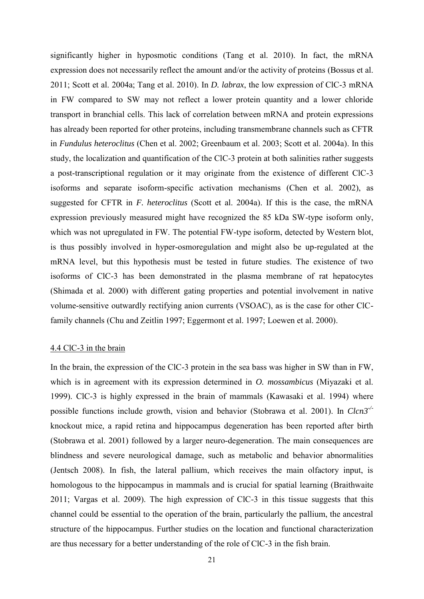significantly higher in hyposmotic conditions (Tang et al. 2010). In fact, the mRNA expression does not necessarily reflect the amount and/or the activity of proteins (Bossus et al. 2011; Scott et al. 2004a; Tang et al. 2010). In *D. labrax*, the low expression of ClC-3 mRNA in FW compared to SW may not reflect a lower protein quantity and a lower chloride transport in branchial cells. This lack of correlation between mRNA and protein expressions has already been reported for other proteins, including transmembrane channels such as CFTR in *Fundulus heteroclitus* (Chen et al. 2002; Greenbaum et al. 2003; Scott et al. 2004a). In this study, the localization and quantification of the ClC-3 protein at both salinities rather suggests a post-transcriptional regulation or it may originate from the existence of different ClC-3 isoforms and separate isoform-specific activation mechanisms (Chen et al. 2002), as suggested for CFTR in *F. heteroclitus* (Scott et al. 2004a). If this is the case, the mRNA expression previously measured might have recognized the 85 kDa SW-type isoform only, which was not upregulated in FW. The potential FW-type isoform, detected by Western blot, is thus possibly involved in hyper-osmoregulation and might also be up-regulated at the mRNA level, but this hypothesis must be tested in future studies. The existence of two isoforms of ClC-3 has been demonstrated in the plasma membrane of rat hepatocytes (Shimada et al. 2000) with different gating properties and potential involvement in native volume-sensitive outwardly rectifying anion currents (VSOAC), as is the case for other ClCfamily channels (Chu and Zeitlin 1997; Eggermont et al. 1997; Loewen et al. 2000).

# 4.4 ClC-3 in the brain

In the brain, the expression of the ClC-3 protein in the sea bass was higher in SW than in FW, which is in agreement with its expression determined in *O. mossambicus* (Miyazaki et al. 1999). ClC-3 is highly expressed in the brain of mammals (Kawasaki et al. 1994) where possible functions include growth, vision and behavior (Stobrawa et al. 2001). In *Clcn3-/* knockout mice, a rapid retina and hippocampus degeneration has been reported after birth (Stobrawa et al. 2001) followed by a larger neuro-degeneration. The main consequences are blindness and severe neurological damage, such as metabolic and behavior abnormalities (Jentsch 2008). In fish, the lateral pallium, which receives the main olfactory input, is homologous to the hippocampus in mammals and is crucial for spatial learning (Braithwaite 2011; Vargas et al. 2009). The high expression of ClC-3 in this tissue suggests that this channel could be essential to the operation of the brain, particularly the pallium, the ancestral structure of the hippocampus. Further studies on the location and functional characterization are thus necessary for a better understanding of the role of ClC-3 in the fish brain.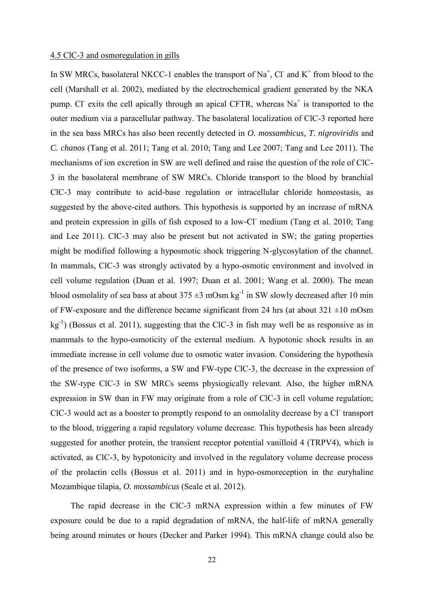#### 4.5 ClC-3 and osmoregulation in gills

In SW MRCs, basolateral NKCC-1 enables the transport of  $\text{Na}^+$ , Cl and K<sup>+</sup> from blood to the cell (Marshall et al. 2002), mediated by the electrochemical gradient generated by the NKA pump. Cl<sup>-</sup> exits the cell apically through an apical CFTR, whereas Na<sup>+</sup> is transported to the outer medium via a paracellular pathway. The basolateral localization of ClC-3 reported here in the sea bass MRCs has also been recently detected in *O. mossambicus, T. nigroviridis* and *C. chanos* (Tang et al. 2011; Tang et al. 2010; Tang and Lee 2007; Tang and Lee 2011). The mechanisms of ion excretion in SW are well defined and raise the question of the role of ClC-3 in the basolateral membrane of SW MRCs. Chloride transport to the blood by branchial ClC-3 may contribute to acid-base regulation or intracellular chloride homeostasis, as suggested by the above-cited authors. This hypothesis is supported by an increase of mRNA and protein expression in gills of fish exposed to a low-Cl medium (Tang et al. 2010; Tang and Lee 2011). ClC-3 may also be present but not activated in SW; the gating properties might be modified following a hyposmotic shock triggering N-glycosylation of the channel. In mammals, ClC-3 was strongly activated by a hypo-osmotic environment and involved in cell volume regulation (Duan et al. 1997; Duan et al. 2001; Wang et al. 2000). The mean blood osmolality of sea bass at about  $375 \pm 3$  mOsm kg<sup>-1</sup> in SW slowly decreased after 10 min of FW-exposure and the difference became significant from 24 hrs (at about  $321 \pm 10$  mOsm kg<sup>-1</sup>) (Bossus et al. 2011), suggesting that the ClC-3 in fish may well be as responsive as in mammals to the hypo-osmoticity of the external medium. A hypotonic shock results in an immediate increase in cell volume due to osmotic water invasion. Considering the hypothesis of the presence of two isoforms, a SW and FW-type ClC-3, the decrease in the expression of the SW-type ClC-3 in SW MRCs seems physiogically relevant. Also, the higher mRNA expression in SW than in FW may originate from a role of ClC-3 in cell volume regulation; CIC-3 would act as a booster to promptly respond to an osmolality decrease by a Cl transport to the blood, triggering a rapid regulatory volume decrease. This hypothesis has been already suggested for another protein, the transient receptor potential vanilloid 4 (TRPV4), which is activated, as ClC-3, by hypotonicity and involved in the regulatory volume decrease process of the prolactin cells (Bossus et al. 2011) and in hypo-osmoreception in the euryhaline Mozambique tilapia, *O. mossambicus* (Seale et al. 2012).

The rapid decrease in the ClC-3 mRNA expression within a few minutes of FW exposure could be due to a rapid degradation of mRNA, the half-life of mRNA generally being around minutes or hours (Decker and Parker 1994). This mRNA change could also be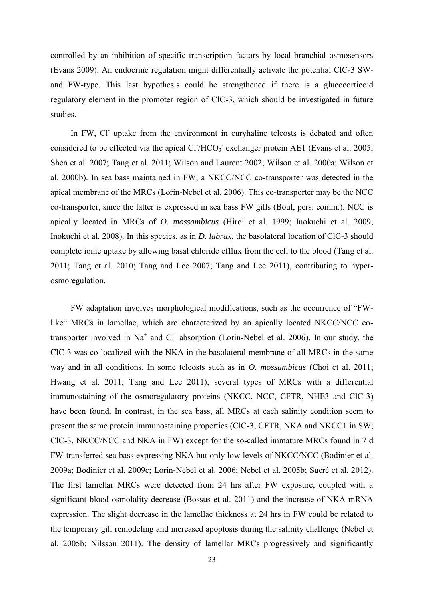controlled by an inhibition of specific transcription factors by local branchial osmosensors (Evans 2009). An endocrine regulation might differentially activate the potential ClC-3 SWand FW-type. This last hypothesis could be strengthened if there is a glucocorticoid regulatory element in the promoter region of ClC-3, which should be investigated in future studies.

In FW, Cl<sup>-</sup> uptake from the environment in euryhaline teleosts is debated and often considered to be effected via the apical  $Cl/HCO<sub>3</sub>$  exchanger protein AE1 (Evans et al. 2005; Shen et al. 2007; Tang et al. 2011; Wilson and Laurent 2002; Wilson et al. 2000a; Wilson et al. 2000b). In sea bass maintained in FW, a NKCC/NCC co-transporter was detected in the apical membrane of the MRCs (Lorin-Nebel et al. 2006). This co-transporter may be the NCC co-transporter, since the latter is expressed in sea bass FW gills (Boul, pers. comm.). NCC is apically located in MRCs of *O. mossambicus* (Hiroi et al. 1999; Inokuchi et al. 2009; Inokuchi et al. 2008). In this species, as in *D. labrax*, the basolateral location of ClC-3 should complete ionic uptake by allowing basal chloride efflux from the cell to the blood (Tang et al. 2011; Tang et al. 2010; Tang and Lee 2007; Tang and Lee 2011), contributing to hyperosmoregulation.

FW adaptation involves morphological modifications, such as the occurrence of "FWlike" MRCs in lamellae, which are characterized by an apically located NKCC/NCC cotransporter involved in  $Na<sup>+</sup>$  and Cl absorption (Lorin-Nebel et al. 2006). In our study, the ClC-3 was co-localized with the NKA in the basolateral membrane of all MRCs in the same way and in all conditions. In some teleosts such as in *O. mossambicus* (Choi et al. 2011; Hwang et al. 2011; Tang and Lee 2011), several types of MRCs with a differential immunostaining of the osmoregulatory proteins (NKCC, NCC, CFTR, NHE3 and ClC-3) have been found. In contrast, in the sea bass, all MRCs at each salinity condition seem to present the same protein immunostaining properties (ClC-3, CFTR, NKA and NKCC1 in SW; ClC-3, NKCC/NCC and NKA in FW) except for the so-called immature MRCs found in 7 d FW-transferred sea bass expressing NKA but only low levels of NKCC/NCC (Bodinier et al. 2009a; Bodinier et al. 2009c; Lorin-Nebel et al. 2006; Nebel et al. 2005b; Sucré et al. 2012). The first lamellar MRCs were detected from 24 hrs after FW exposure, coupled with a significant blood osmolality decrease (Bossus et al. 2011) and the increase of NKA mRNA expression. The slight decrease in the lamellae thickness at 24 hrs in FW could be related to the temporary gill remodeling and increased apoptosis during the salinity challenge (Nebel et al. 2005b; Nilsson 2011). The density of lamellar MRCs progressively and significantly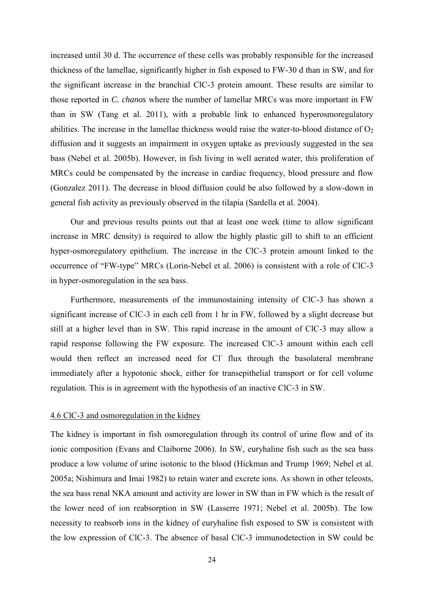increased until 30 d. The occurrence of these cells was probably responsible for the increased thickness of the lamellae, significantly higher in fish exposed to FW-30 d than in SW, and for the significant increase in the branchial ClC-3 protein amount. These results are similar to those reported in *C. chanos* where the number of lamellar MRCs was more important in FW than in SW (Tang et al. 2011), with a probable link to enhanced hyperosmoregulatory abilities. The increase in the lamellae thickness would raise the water-to-blood distance of  $O_2$ diffusion and it suggests an impairment in oxygen uptake as previously suggested in the sea bass (Nebel et al. 2005b). However, in fish living in well aerated water, this proliferation of MRCs could be compensated by the increase in cardiac frequency, blood pressure and flow (Gonzalez 2011). The decrease in blood diffusion could be also followed by a slow-down in general fish activity as previously observed in the tilapia (Sardella et al. 2004).

Our and previous results points out that at least one week (time to allow significant increase in MRC density) is required to allow the highly plastic gill to shift to an efficient hyper-osmoregulatory epithelium. The increase in the ClC-3 protein amount linked to the occurrence of "FW-type" MRCs (Lorin-Nebel et al. 2006) is consistent with a role of ClC-3 in hyper-osmoregulation in the sea bass.

Furthermore, measurements of the immunostaining intensity of ClC-3 has shown a significant increase of ClC-3 in each cell from 1 hr in FW, followed by a slight decrease but still at a higher level than in SW. This rapid increase in the amount of ClC-3 may allow a rapid response following the FW exposure. The increased ClC-3 amount within each cell would then reflect an increased need for Cl flux through the basolateral membrane immediately after a hypotonic shock, either for transepithelial transport or for cell volume regulation. This is in agreement with the hypothesis of an inactive ClC-3 in SW.

#### 4.6 ClC-3 and osmoregulation in the kidney

The kidney is important in fish osmoregulation through its control of urine flow and of its ionic composition (Evans and Claiborne 2006). In SW, euryhaline fish such as the sea bass produce a low volume of urine isotonic to the blood (Hickman and Trump 1969; Nebel et al. 2005a; Nishimura and Imai 1982) to retain water and excrete ions. As shown in other teleosts, the sea bass renal NKA amount and activity are lower in SW than in FW which is the result of the lower need of ion reabsorption in SW (Lasserre 1971; Nebel et al. 2005b). The low necessity to reabsorb ions in the kidney of euryhaline fish exposed to SW is consistent with the low expression of ClC-3. The absence of basal ClC-3 immunodetection in SW could be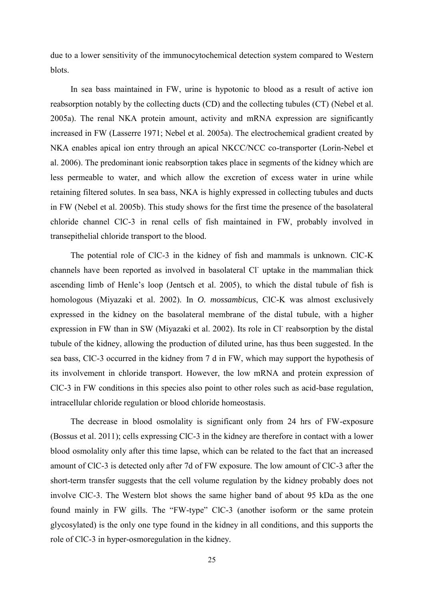due to a lower sensitivity of the immunocytochemical detection system compared to Western blots.

In sea bass maintained in FW, urine is hypotonic to blood as a result of active ion reabsorption notably by the collecting ducts (CD) and the collecting tubules (CT) (Nebel et al. 2005a). The renal NKA protein amount, activity and mRNA expression are significantly increased in FW (Lasserre 1971; Nebel et al. 2005a). The electrochemical gradient created by NKA enables apical ion entry through an apical NKCC/NCC co-transporter (Lorin-Nebel et al. 2006). The predominant ionic reabsorption takes place in segments of the kidney which are less permeable to water, and which allow the excretion of excess water in urine while retaining filtered solutes. In sea bass, NKA is highly expressed in collecting tubules and ducts in FW (Nebel et al. 2005b). This study shows for the first time the presence of the basolateral chloride channel ClC-3 in renal cells of fish maintained in FW, probably involved in transepithelial chloride transport to the blood.

The potential role of ClC-3 in the kidney of fish and mammals is unknown. ClC-K channels have been reported as involved in basolateral Cl uptake in the mammalian thick ascending limb of Henle's loop (Jentsch et al. 2005), to which the distal tubule of fish is homologous (Miyazaki et al. 2002). In *O. mossambicus*, ClC-K was almost exclusively expressed in the kidney on the basolateral membrane of the distal tubule, with a higher expression in FW than in SW (Miyazaki et al. 2002). Its role in Cl<sup>-</sup> reabsorption by the distal tubule of the kidney, allowing the production of diluted urine, has thus been suggested. In the sea bass, ClC-3 occurred in the kidney from 7 d in FW, which may support the hypothesis of its involvement in chloride transport. However, the low mRNA and protein expression of ClC-3 in FW conditions in this species also point to other roles such as acid-base regulation, intracellular chloride regulation or blood chloride homeostasis.

The decrease in blood osmolality is significant only from 24 hrs of FW-exposure (Bossus et al. 2011); cells expressing ClC-3 in the kidney are therefore in contact with a lower blood osmolality only after this time lapse, which can be related to the fact that an increased amount of ClC-3 is detected only after 7d of FW exposure. The low amount of ClC-3 after the short-term transfer suggests that the cell volume regulation by the kidney probably does not involve ClC-3. The Western blot shows the same higher band of about 95 kDa as the one found mainly in FW gills. The "FW-type" ClC-3 (another isoform or the same protein glycosylated) is the only one type found in the kidney in all conditions, and this supports the role of ClC-3 in hyper-osmoregulation in the kidney.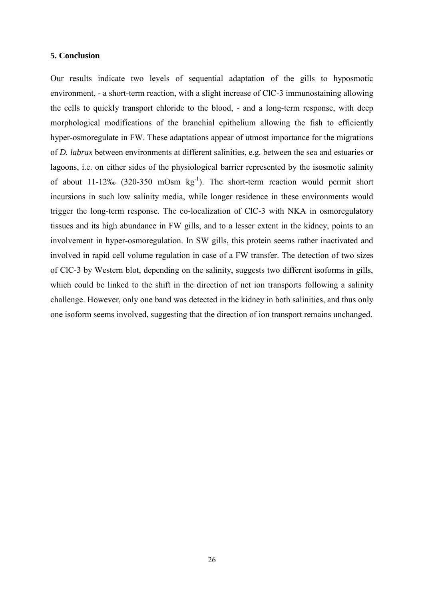#### **5. Conclusion**

Our results indicate two levels of sequential adaptation of the gills to hyposmotic environment, - a short-term reaction, with a slight increase of ClC-3 immunostaining allowing the cells to quickly transport chloride to the blood, - and a long-term response, with deep morphological modifications of the branchial epithelium allowing the fish to efficiently hyper-osmoregulate in FW. These adaptations appear of utmost importance for the migrations of *D. labrax* between environments at different salinities, e.g. between the sea and estuaries or lagoons, i.e. on either sides of the physiological barrier represented by the isosmotic salinity of about 11-12‰ (320-350 mOsm  $kg^{-1}$ ). The short-term reaction would permit short incursions in such low salinity media, while longer residence in these environments would trigger the long-term response. The co-localization of ClC-3 with NKA in osmoregulatory tissues and its high abundance in FW gills, and to a lesser extent in the kidney, points to an involvement in hyper-osmoregulation. In SW gills, this protein seems rather inactivated and involved in rapid cell volume regulation in case of a FW transfer. The detection of two sizes of ClC-3 by Western blot, depending on the salinity, suggests two different isoforms in gills, which could be linked to the shift in the direction of net ion transports following a salinity challenge. However, only one band was detected in the kidney in both salinities, and thus only one isoform seems involved, suggesting that the direction of ion transport remains unchanged.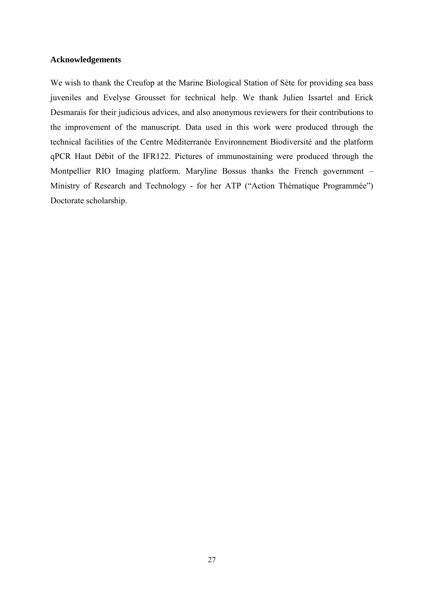### **Acknowledgements**

We wish to thank the Creufop at the Marine Biological Station of Sète for providing sea bass juveniles and Evelyse Grousset for technical help. We thank Julien Issartel and Erick Desmarais for their judicious advices, and also anonymous reviewers for their contributions to the improvement of the manuscript. Data used in this work were produced through the technical facilities of the Centre Méditerranée Environnement Biodiversité and the platform qPCR Haut Débit of the IFR122. Pictures of immunostaining were produced through the Montpellier RIO Imaging platform. Maryline Bossus thanks the French government – Ministry of Research and Technology - for her ATP ("Action Thématique Programmée") Doctorate scholarship.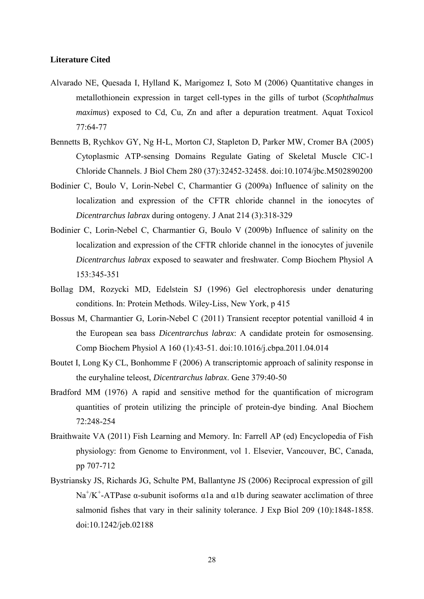#### **Literature Cited**

- Alvarado NE, Quesada I, Hylland K, Marigomez I, Soto M (2006) Quantitative changes in metallothionein expression in target cell-types in the gills of turbot (*Scophthalmus maximus*) exposed to Cd, Cu, Zn and after a depuration treatment. Aquat Toxicol 77:64-77
- Bennetts B, Rychkov GY, Ng H-L, Morton CJ, Stapleton D, Parker MW, Cromer BA (2005) Cytoplasmic ATP-sensing Domains Regulate Gating of Skeletal Muscle ClC-1 Chloride Channels. J Biol Chem 280 (37):32452-32458. doi:10.1074/jbc.M502890200
- Bodinier C, Boulo V, Lorin-Nebel C, Charmantier G (2009a) Influence of salinity on the localization and expression of the CFTR chloride channel in the ionocytes of *Dicentrarchus labrax* during ontogeny. J Anat 214 (3):318-329
- Bodinier C, Lorin-Nebel C, Charmantier G, Boulo V (2009b) Influence of salinity on the localization and expression of the CFTR chloride channel in the ionocytes of juvenile *Dicentrarchus labrax* exposed to seawater and freshwater. Comp Biochem Physiol A 153:345-351
- Bollag DM, Rozycki MD, Edelstein SJ (1996) Gel electrophoresis under denaturing conditions. In: Protein Methods. Wiley-Liss, New York, p 415
- Bossus M, Charmantier G, Lorin-Nebel C (2011) Transient receptor potential vanilloid 4 in the European sea bass *Dicentrarchus labrax*: A candidate protein for osmosensing. Comp Biochem Physiol A 160 (1):43-51. doi:10.1016/j.cbpa.2011.04.014
- Boutet I, Long Ky CL, Bonhomme F (2006) A transcriptomic approach of salinity response in the euryhaline teleost, *Dicentrarchus labrax*. Gene 379:40-50
- Bradford MM (1976) A rapid and sensitive method for the quantification of microgram quantities of protein utilizing the principle of protein-dye binding. Anal Biochem 72:248-254
- Braithwaite VA (2011) Fish Learning and Memory. In: Farrell AP (ed) Encyclopedia of Fish physiology: from Genome to Environment, vol 1. Elsevier, Vancouver, BC, Canada, pp 707-712
- Bystriansky JS, Richards JG, Schulte PM, Ballantyne JS (2006) Reciprocal expression of gill Na<sup>+</sup>/K<sup>+</sup>-ATPase α-subunit isoforms α1a and α1b during seawater acclimation of three salmonid fishes that vary in their salinity tolerance. J Exp Biol 209 (10):1848-1858. doi:10.1242/jeb.02188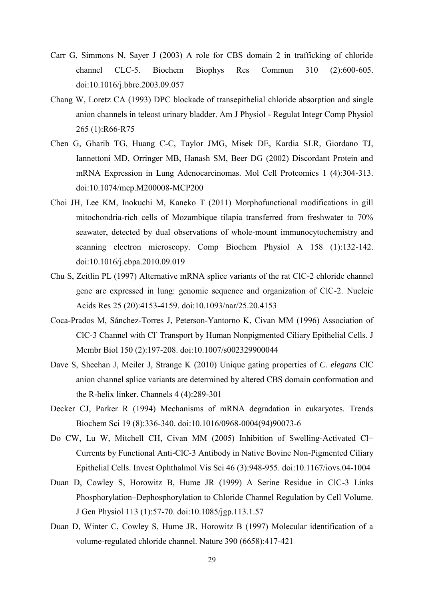- Carr G, Simmons N, Sayer J (2003) A role for CBS domain 2 in trafficking of chloride channel CLC-5. Biochem Biophys Res Commun 310 (2):600-605. doi:10.1016/j.bbrc.2003.09.057
- Chang W, Loretz CA (1993) DPC blockade of transepithelial chloride absorption and single anion channels in teleost urinary bladder. Am J Physiol - Regulat Integr Comp Physiol 265 (1):R66-R75
- Chen G, Gharib TG, Huang C-C, Taylor JMG, Misek DE, Kardia SLR, Giordano TJ, Iannettoni MD, Orringer MB, Hanash SM, Beer DG (2002) Discordant Protein and mRNA Expression in Lung Adenocarcinomas. Mol Cell Proteomics 1 (4):304-313. doi:10.1074/mcp.M200008-MCP200
- Choi JH, Lee KM, Inokuchi M, Kaneko T (2011) Morphofunctional modifications in gill mitochondria-rich cells of Mozambique tilapia transferred from freshwater to 70% seawater, detected by dual observations of whole-mount immunocytochemistry and scanning electron microscopy. Comp Biochem Physiol A 158 (1):132-142. doi:10.1016/j.cbpa.2010.09.019
- Chu S, Zeitlin PL (1997) Alternative mRNA splice variants of the rat ClC-2 chloride channel gene are expressed in lung: genomic sequence and organization of ClC-2. Nucleic Acids Res 25 (20):4153-4159. doi:10.1093/nar/25.20.4153
- Coca-Prados M, Sánchez-Torres J, Peterson-Yantorno K, Civan MM (1996) Association of CIC-3 Channel with Cl<sup>-</sup> Transport by Human Nonpigmented Ciliary Epithelial Cells. J Membr Biol 150 (2):197-208. doi:10.1007/s002329900044
- Dave S, Sheehan J, Meiler J, Strange K (2010) Unique gating properties of *C. elegans* ClC anion channel splice variants are determined by altered CBS domain conformation and the R-helix linker. Channels 4 (4):289-301
- Decker CJ, Parker R (1994) Mechanisms of mRNA degradation in eukaryotes. Trends Biochem Sci 19 (8):336-340. doi:10.1016/0968-0004(94)90073-6
- Do CW, Lu W, Mitchell CH, Civan MM (2005) Inhibition of Swelling-Activated Cl− Currents by Functional Anti-ClC-3 Antibody in Native Bovine Non-Pigmented Ciliary Epithelial Cells. Invest Ophthalmol Vis Sci 46 (3):948-955. doi:10.1167/iovs.04-1004
- Duan D, Cowley S, Horowitz B, Hume JR (1999) A Serine Residue in ClC-3 Links Phosphorylation–Dephosphorylation to Chloride Channel Regulation by Cell Volume. J Gen Physiol 113 (1):57-70. doi:10.1085/jgp.113.1.57
- Duan D, Winter C, Cowley S, Hume JR, Horowitz B (1997) Molecular identification of a volume-regulated chloride channel. Nature 390 (6658):417-421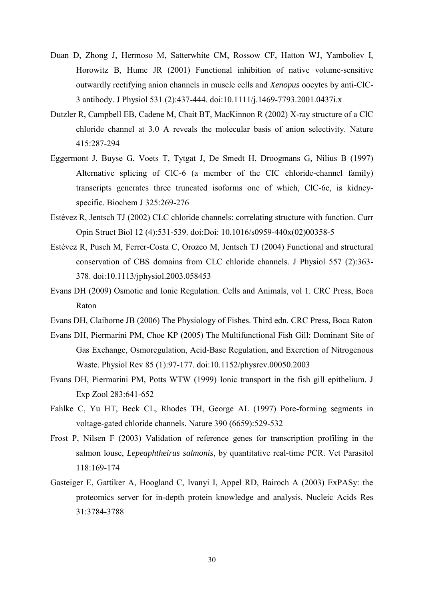- Duan D, Zhong J, Hermoso M, Satterwhite CM, Rossow CF, Hatton WJ, Yamboliev I, Horowitz B, Hume JR (2001) Functional inhibition of native volume-sensitive outwardly rectifying anion channels in muscle cells and *Xenopus* oocytes by anti-ClC-3 antibody. J Physiol 531 (2):437-444. doi:10.1111/j.1469-7793.2001.0437i.x
- Dutzler R, Campbell EB, Cadene M, Chait BT, MacKinnon R (2002) X-ray structure of a ClC chloride channel at 3.0 A reveals the molecular basis of anion selectivity. Nature 415:287-294
- Eggermont J, Buyse G, Voets T, Tytgat J, De Smedt H, Droogmans G, Nilius B (1997) Alternative splicing of ClC-6 (a member of the CIC chloride-channel family) transcripts generates three truncated isoforms one of which, ClC-6c, is kidneyspecific. Biochem J 325:269-276
- Estévez R, Jentsch TJ (2002) CLC chloride channels: correlating structure with function. Curr Opin Struct Biol 12 (4):531-539. doi:Doi: 10.1016/s0959-440x(02)00358-5
- Estévez R, Pusch M, Ferrer-Costa C, Orozco M, Jentsch TJ (2004) Functional and structural conservation of CBS domains from CLC chloride channels. J Physiol 557 (2):363- 378. doi:10.1113/jphysiol.2003.058453
- Evans DH (2009) Osmotic and Ionic Regulation. Cells and Animals, vol 1. CRC Press, Boca Raton
- Evans DH, Claiborne JB (2006) The Physiology of Fishes. Third edn. CRC Press, Boca Raton
- Evans DH, Piermarini PM, Choe KP (2005) The Multifunctional Fish Gill: Dominant Site of Gas Exchange, Osmoregulation, Acid-Base Regulation, and Excretion of Nitrogenous Waste. Physiol Rev 85 (1):97-177. doi:10.1152/physrev.00050.2003
- Evans DH, Piermarini PM, Potts WTW (1999) Ionic transport in the fish gill epithelium. J Exp Zool 283:641-652
- Fahlke C, Yu HT, Beck CL, Rhodes TH, George AL (1997) Pore-forming segments in voltage-gated chloride channels. Nature 390 (6659):529-532
- Frost P, Nilsen F (2003) Validation of reference genes for transcription profiling in the salmon louse, *Lepeaphtheirus salmonis*, by quantitative real-time PCR. Vet Parasitol 118:169-174
- Gasteiger E, Gattiker A, Hoogland C, Ivanyi I, Appel RD, Bairoch A (2003) ExPASy: the proteomics server for in-depth protein knowledge and analysis. Nucleic Acids Res 31:3784-3788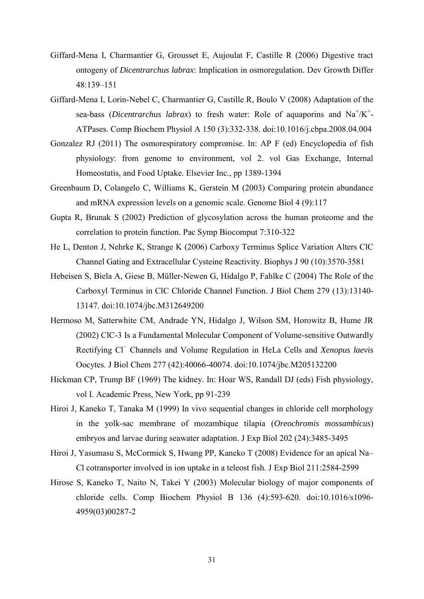- Giffard-Mena I, Charmantier G, Grousset E, Aujoulat F, Castille R (2006) Digestive tract ontogeny of *Dicentrarchus labrax*: Implication in osmoregulation. Dev Growth Differ 48:139–151
- Giffard-Mena I, Lorin-Nebel C, Charmantier G, Castille R, Boulo V (2008) Adaptation of the sea-bass (*Dicentrarchus labrax*) to fresh water: Role of aquaporins and  $Na^+/K^+$ -ATPases. Comp Biochem Physiol A 150 (3):332-338. doi:10.1016/j.cbpa.2008.04.004
- Gonzalez RJ (2011) The osmorespiratory compromise. In: AP F (ed) Encyclopedia of fish physiology: from genome to environment, vol 2. vol Gas Exchange, Internal Homeostatis, and Food Uptake. Elsevier Inc., pp 1389-1394
- Greenbaum D, Colangelo C, Williams K, Gerstein M (2003) Comparing protein abundance and mRNA expression levels on a genomic scale. Genome Biol 4 (9):117
- Gupta R, Brunak S (2002) Prediction of glycosylation across the human proteome and the correlation to protein function. Pac Symp Biocomput 7:310-322
- He L, Denton J, Nehrke K, Strange K (2006) Carboxy Terminus Splice Variation Alters ClC Channel Gating and Extracellular Cysteine Reactivity. Biophys J 90 (10):3570-3581
- Hebeisen S, Biela A, Giese B, Müller-Newen G, Hidalgo P, Fahlke C (2004) The Role of the Carboxyl Terminus in ClC Chloride Channel Function. J Biol Chem 279 (13):13140- 13147. doi:10.1074/jbc.M312649200
- Hermoso M, Satterwhite CM, Andrade YN, Hidalgo J, Wilson SM, Horowitz B, Hume JR (2002) ClC-3 Is a Fundamental Molecular Component of Volume-sensitive Outwardly Rectifying Cl<sup>−</sup> Channels and Volume Regulation in HeLa Cells and *Xenopus laevis* Oocytes. J Biol Chem 277 (42):40066-40074. doi:10.1074/jbc.M205132200
- Hickman CP, Trump BF (1969) The kidney. In: Hoar WS, Randall DJ (eds) Fish physiology, vol I. Academic Press, New York, pp 91-239
- Hiroi J, Kaneko T, Tanaka M (1999) In vivo sequential changes in chloride cell morphology in the yolk-sac membrane of mozambique tilapia (*Oreochromis mossambicus*) embryos and larvae during seawater adaptation. J Exp Biol 202 (24):3485-3495
- Hiroi J, Yasumasu S, McCormick S, Hwang PP, Kaneko T (2008) Evidence for an apical Na– Cl cotransporter involved in ion uptake in a teleost fish. J Exp Biol 211:2584-2599
- Hirose S, Kaneko T, Naito N, Takei Y (2003) Molecular biology of major components of chloride cells. Comp Biochem Physiol B 136 (4):593-620. doi:10.1016/s1096- 4959(03)00287-2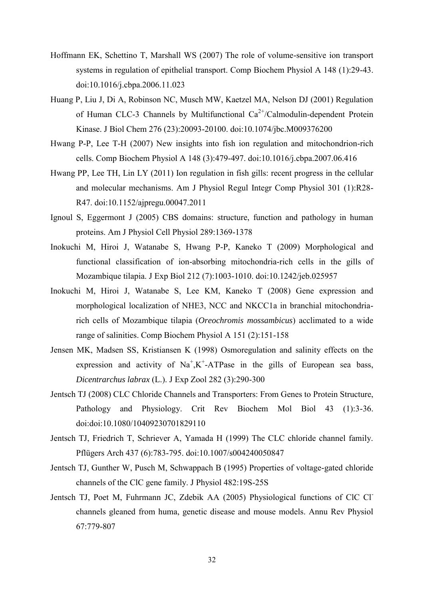- Hoffmann EK, Schettino T, Marshall WS (2007) The role of volume-sensitive ion transport systems in regulation of epithelial transport. Comp Biochem Physiol A 148 (1):29-43. doi:10.1016/j.cbpa.2006.11.023
- Huang P, Liu J, Di A, Robinson NC, Musch MW, Kaetzel MA, Nelson DJ (2001) Regulation of Human CLC-3 Channels by Multifunctional  $Ca^{2+}/Calmoduli$ n-dependent Protein Kinase. J Biol Chem 276 (23):20093-20100. doi:10.1074/jbc.M009376200
- Hwang P-P, Lee T-H (2007) New insights into fish ion regulation and mitochondrion-rich cells. Comp Biochem Physiol A 148 (3):479-497. doi:10.1016/j.cbpa.2007.06.416
- Hwang PP, Lee TH, Lin LY (2011) Ion regulation in fish gills: recent progress in the cellular and molecular mechanisms. Am J Physiol Regul Integr Comp Physiol 301 (1):R28- R47. doi:10.1152/ajpregu.00047.2011
- Ignoul S, Eggermont J (2005) CBS domains: structure, function and pathology in human proteins. Am J Physiol Cell Physiol 289:1369-1378
- Inokuchi M, Hiroi J, Watanabe S, Hwang P-P, Kaneko T (2009) Morphological and functional classification of ion-absorbing mitochondria-rich cells in the gills of Mozambique tilapia. J Exp Biol 212 (7):1003-1010. doi:10.1242/jeb.025957
- Inokuchi M, Hiroi J, Watanabe S, Lee KM, Kaneko T (2008) Gene expression and morphological localization of NHE3, NCC and NKCC1a in branchial mitochondriarich cells of Mozambique tilapia (*Oreochromis mossambicus*) acclimated to a wide range of salinities. Comp Biochem Physiol A 151 (2):151-158
- Jensen MK, Madsen SS, Kristiansen K (1998) Osmoregulation and salinity effects on the expression and activity of  $Na<sup>+</sup>, K<sup>+</sup>-ATP$ ase in the gills of European sea bass, *Dicentrarchus labrax* (L.). J Exp Zool 282 (3):290-300
- Jentsch TJ (2008) CLC Chloride Channels and Transporters: From Genes to Protein Structure, Pathology and Physiology. Crit Rev Biochem Mol Biol 43 (1):3-36. doi:doi:10.1080/10409230701829110
- Jentsch TJ, Friedrich T, Schriever A, Yamada H (1999) The CLC chloride channel family. Pflügers Arch 437 (6):783-795. doi:10.1007/s004240050847
- Jentsch TJ, Gunther W, Pusch M, Schwappach B (1995) Properties of voltage-gated chloride channels of the ClC gene family. J Physiol 482:19S-25S
- Jentsch TJ, Poet M, Fuhrmann JC, Zdebik AA (2005) Physiological functions of ClC Clchannels gleaned from huma, genetic disease and mouse models. Annu Rev Physiol 67:779-807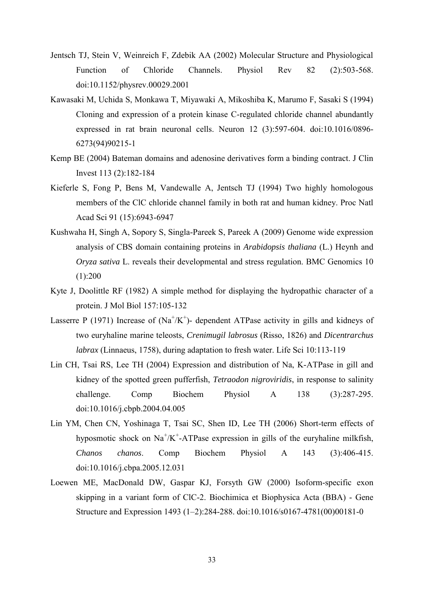- Jentsch TJ, Stein V, Weinreich F, Zdebik AA (2002) Molecular Structure and Physiological Function of Chloride Channels. Physiol Rev 82 (2):503-568. doi:10.1152/physrev.00029.2001
- Kawasaki M, Uchida S, Monkawa T, Miyawaki A, Mikoshiba K, Marumo F, Sasaki S (1994) Cloning and expression of a protein kinase C-regulated chloride channel abundantly expressed in rat brain neuronal cells. Neuron 12 (3):597-604. doi:10.1016/0896- 6273(94)90215-1
- Kemp BE (2004) Bateman domains and adenosine derivatives form a binding contract. J Clin Invest 113 (2):182-184
- Kieferle S, Fong P, Bens M, Vandewalle A, Jentsch TJ (1994) Two highly homologous members of the ClC chloride channel family in both rat and human kidney. Proc Natl Acad Sci 91 (15):6943-6947
- Kushwaha H, Singh A, Sopory S, Singla-Pareek S, Pareek A (2009) Genome wide expression analysis of CBS domain containing proteins in *Arabidopsis thaliana* (L.) Heynh and *Oryza sativa* L. reveals their developmental and stress regulation. BMC Genomics 10  $(1):200$
- Kyte J, Doolittle RF (1982) A simple method for displaying the hydropathic character of a protein. J Mol Biol 157:105-132
- Lasserre P (1971) Increase of  $(Na^+/K^+)$  dependent ATPase activity in gills and kidneys of two euryhaline marine teleosts, *Crenimugil labrosus* (Risso, 1826) and *Dicentrarchus labrax* (Linnaeus, 1758), during adaptation to fresh water. Life Sci 10:113-119
- Lin CH, Tsai RS, Lee TH (2004) Expression and distribution of Na, K-ATPase in gill and kidney of the spotted green pufferfish, *Tetraodon nigroviridis*, in response to salinity challenge. Comp Biochem Physiol A 138 (3):287-295. doi:10.1016/j.cbpb.2004.04.005
- Lin YM, Chen CN, Yoshinaga T, Tsai SC, Shen ID, Lee TH (2006) Short-term effects of hyposmotic shock on  $\text{Na}^{\dagger}/\text{K}^{\dagger}$ -ATPase expression in gills of the euryhaline milkfish, *Chanos chanos*. Comp Biochem Physiol A 143 (3):406-415. doi:10.1016/j.cbpa.2005.12.031
- Loewen ME, MacDonald DW, Gaspar KJ, Forsyth GW (2000) Isoform-specific exon skipping in a variant form of ClC-2. Biochimica et Biophysica Acta (BBA) - Gene Structure and Expression 1493 (1–2):284-288. doi:10.1016/s0167-4781(00)00181-0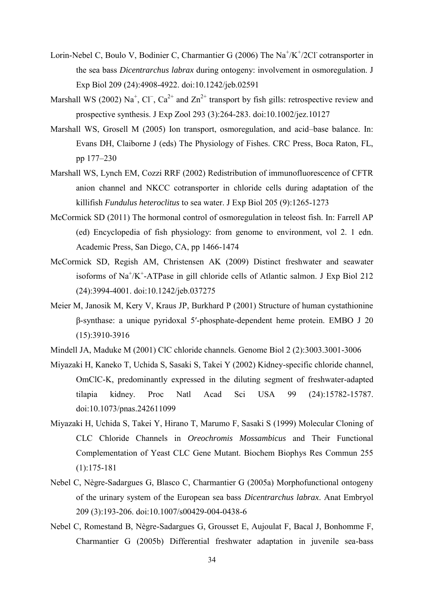- Lorin-Nebel C, Boulo V, Bodinier C, Charmantier G (2006) The Na<sup>+</sup>/K<sup>+</sup>/2Cl<sup>-</sup> cotransporter in the sea bass *Dicentrarchus labrax* during ontogeny: involvement in osmoregulation. J Exp Biol 209 (24):4908-4922. doi:10.1242/jeb.02591
- Marshall WS (2002) Na<sup>+</sup>, Cl<sup>-</sup>, Ca<sup>2+</sup> and Zn<sup>2+</sup> transport by fish gills: retrospective review and prospective synthesis. J Exp Zool 293 (3):264-283. doi:10.1002/jez.10127
- Marshall WS, Grosell M (2005) Ion transport, osmoregulation, and acid–base balance. In: Evans DH, Claiborne J (eds) The Physiology of Fishes. CRC Press, Boca Raton, FL, pp 177–230
- Marshall WS, Lynch EM, Cozzi RRF (2002) Redistribution of immunofluorescence of CFTR anion channel and NKCC cotransporter in chloride cells during adaptation of the killifish *Fundulus heteroclitus* to sea water. J Exp Biol 205 (9):1265-1273
- McCormick SD (2011) The hormonal control of osmoregulation in teleost fish. In: Farrell AP (ed) Encyclopedia of fish physiology: from genome to environment, vol 2. 1 edn. Academic Press, San Diego, CA, pp 1466-1474
- McCormick SD, Regish AM, Christensen AK (2009) Distinct freshwater and seawater isoforms of Na<sup>+</sup>/K<sup>+</sup>-ATPase in gill chloride cells of Atlantic salmon. J Exp Biol 212 (24):3994-4001. doi:10.1242/jeb.037275
- Meier M, Janosik M, Kery V, Kraus JP, Burkhard P (2001) Structure of human cystathionine β-synthase: a unique pyridoxal 5′-phosphate-dependent heme protein. EMBO J 20 (15):3910-3916
- Mindell JA, Maduke M (2001) ClC chloride channels. Genome Biol 2 (2):3003.3001-3006
- Miyazaki H, Kaneko T, Uchida S, Sasaki S, Takei Y (2002) Kidney-specific chloride channel, OmClC-K, predominantly expressed in the diluting segment of freshwater-adapted tilapia kidney. Proc Natl Acad Sci USA 99 (24):15782-15787. doi:10.1073/pnas.242611099
- Miyazaki H, Uchida S, Takei Y, Hirano T, Marumo F, Sasaki S (1999) Molecular Cloning of CLC Chloride Channels in *Oreochromis Mossambicus* and Their Functional Complementation of Yeast CLC Gene Mutant. Biochem Biophys Res Commun 255 (1):175-181
- Nebel C, Nègre-Sadargues G, Blasco C, Charmantier G (2005a) Morphofunctional ontogeny of the urinary system of the European sea bass *Dicentrarchus labrax*. Anat Embryol 209 (3):193-206. doi:10.1007/s00429-004-0438-6
- Nebel C, Romestand B, Nègre-Sadargues G, Grousset E, Aujoulat F, Bacal J, Bonhomme F, Charmantier G (2005b) Differential freshwater adaptation in juvenile sea-bass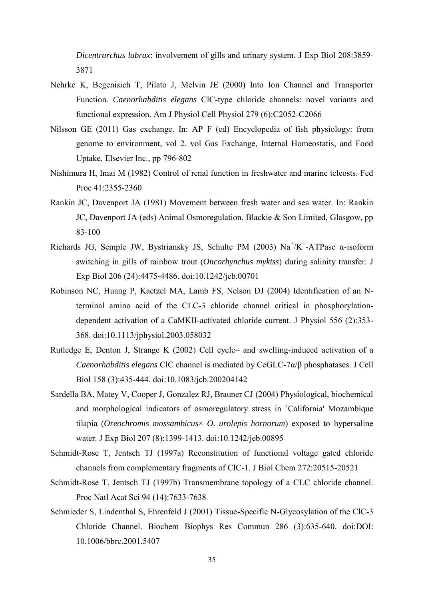*Dicentrarchus labrax*: involvement of gills and urinary system. J Exp Biol 208:3859- 3871

- Nehrke K, Begenisich T, Pilato J, Melvin JE (2000) Into Ion Channel and Transporter Function. *Caenorhabditis elegans* ClC-type chloride channels: novel variants and functional expression. Am J Physiol Cell Physiol 279 (6):C2052-C2066
- Nilsson GE (2011) Gas exchange. In: AP F (ed) Encyclopedia of fish physiology: from genome to environment, vol 2. vol Gas Exchange, Internal Homeostatis, and Food Uptake. Elsevier Inc., pp 796-802
- Nishimura H, Imai M (1982) Control of renal function in freshwater and marine teleosts. Fed Proc 41:2355-2360
- Rankin JC, Davenport JA (1981) Movement between fresh water and sea water. In: Rankin JC, Davenport JA (eds) Animal Osmoregulation. Blackie & Son Limited, Glasgow, pp 83-100
- Richards JG, Semple JW, Bystriansky JS, Schulte PM (2003)  $Na^{+}/K^{+}$ -ATPase  $\alpha$ -isoform switching in gills of rainbow trout (*Oncorhynchus mykiss*) during salinity transfer. J Exp Biol 206 (24):4475-4486. doi:10.1242/jeb.00701
- Robinson NC, Huang P, Kaetzel MA, Lamb FS, Nelson DJ (2004) Identification of an Nterminal amino acid of the CLC-3 chloride channel critical in phosphorylationdependent activation of a CaMKII-activated chloride current. J Physiol 556 (2):353- 368. doi:10.1113/jphysiol.2003.058032
- Rutledge E, Denton J, Strange K (2002) Cell cycle– and swelling-induced activation of a *Caenorhabditis elegans* ClC channel is mediated by CeGLC-7α/β phosphatases. J Cell Biol 158 (3):435-444. doi:10.1083/jcb.200204142
- Sardella BA, Matey V, Cooper J, Gonzalez RJ, Brauner CJ (2004) Physiological, biochemical and morphological indicators of osmoregulatory stress in `California' Mozambique tilapia (*Oreochromis mossambicus*× *O. urolepis hornorum*) exposed to hypersaline water. J Exp Biol 207 (8):1399-1413. doi:10.1242/jeb.00895
- Schmidt-Rose T, Jentsch TJ (1997a) Reconstitution of functional voltage gated chloride channels from complementary fragments of ClC-1. J Biol Chem 272:20515-20521
- Schmidt-Rose T, Jentsch TJ (1997b) Transmembrane topology of a CLC chloride channel. Proc Natl Acat Sci 94 (14):7633-7638
- Schmieder S, Lindenthal S, Ehrenfeld J (2001) Tissue-Specific N-Glycosylation of the ClC-3 Chloride Channel. Biochem Biophys Res Commun 286 (3):635-640. doi:DOI: 10.1006/bbrc.2001.5407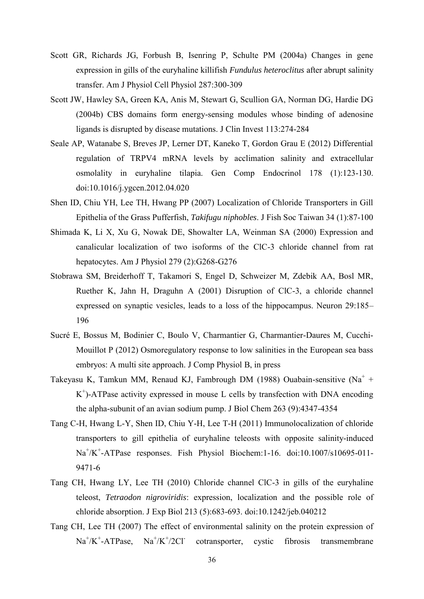- Scott GR, Richards JG, Forbush B, Isenring P, Schulte PM (2004a) Changes in gene expression in gills of the euryhaline killifish *Fundulus heteroclitus* after abrupt salinity transfer. Am J Physiol Cell Physiol 287:300-309
- Scott JW, Hawley SA, Green KA, Anis M, Stewart G, Scullion GA, Norman DG, Hardie DG (2004b) CBS domains form energy-sensing modules whose binding of adenosine ligands is disrupted by disease mutations. J Clin Invest 113:274-284
- Seale AP, Watanabe S, Breves JP, Lerner DT, Kaneko T, Gordon Grau E (2012) Differential regulation of TRPV4 mRNA levels by acclimation salinity and extracellular osmolality in euryhaline tilapia. Gen Comp Endocrinol 178 (1):123-130. doi:10.1016/j.ygcen.2012.04.020
- Shen ID, Chiu YH, Lee TH, Hwang PP (2007) Localization of Chloride Transporters in Gill Epithelia of the Grass Pufferfish, *Takifugu niphobles*. J Fish Soc Taiwan 34 (1):87-100
- Shimada K, Li X, Xu G, Nowak DE, Showalter LA, Weinman SA (2000) Expression and canalicular localization of two isoforms of the ClC-3 chloride channel from rat hepatocytes. Am J Physiol 279 (2):G268-G276
- Stobrawa SM, Breiderhoff T, Takamori S, Engel D, Schweizer M, Zdebik AA, Bosl MR, Ruether K, Jahn H, Draguhn A (2001) Disruption of ClC-3, a chloride channel expressed on synaptic vesicles, leads to a loss of the hippocampus. Neuron 29:185– 196
- Sucré E, Bossus M, Bodinier C, Boulo V, Charmantier G, Charmantier-Daures M, Cucchi-Mouillot P (2012) Osmoregulatory response to low salinities in the European sea bass embryos: A multi site approach. J Comp Physiol B, in press
- Takeyasu K, Tamkun MM, Renaud KJ, Fambrough DM (1988) Ouabain-sensitive (Na<sup>+</sup> + K + )-ATPase activity expressed in mouse L cells by transfection with DNA encoding the alpha-subunit of an avian sodium pump. J Biol Chem 263 (9):4347-4354
- Tang C-H, Hwang L-Y, Shen ID, Chiu Y-H, Lee T-H (2011) Immunolocalization of chloride transporters to gill epithelia of euryhaline teleosts with opposite salinity-induced Na<sup>+</sup>/K<sup>+</sup>-ATPase responses. Fish Physiol Biochem:1-16. doi:10.1007/s10695-011-9471-6
- Tang CH, Hwang LY, Lee TH (2010) Chloride channel ClC-3 in gills of the euryhaline teleost, *Tetraodon nigroviridis*: expression, localization and the possible role of chloride absorption. J Exp Biol 213 (5):683-693. doi:10.1242/jeb.040212
- Tang CH, Lee TH (2007) The effect of environmental salinity on the protein expression of  $Na^+/K^+$ -ATPase,  $Na^+/K^+/2Cl^$ cotransporter, cystic fibrosis transmembrane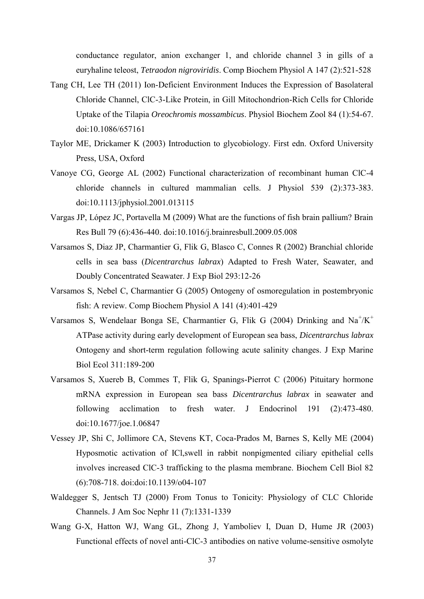conductance regulator, anion exchanger 1, and chloride channel 3 in gills of a euryhaline teleost, *Tetraodon nigroviridis*. Comp Biochem Physiol A 147 (2):521-528

- Tang CH, Lee TH (2011) Ion-Deficient Environment Induces the Expression of Basolateral Chloride Channel, ClC-3-Like Protein, in Gill Mitochondrion-Rich Cells for Chloride Uptake of the Tilapia *Oreochromis mossambicus*. Physiol Biochem Zool 84 (1):54-67. doi:10.1086/657161
- Taylor ME, Drickamer K (2003) Introduction to glycobiology. First edn. Oxford University Press, USA, Oxford
- Vanoye CG, George AL (2002) Functional characterization of recombinant human ClC-4 chloride channels in cultured mammalian cells. J Physiol 539 (2):373-383. doi:10.1113/jphysiol.2001.013115
- Vargas JP, López JC, Portavella M (2009) What are the functions of fish brain pallium? Brain Res Bull 79 (6):436-440. doi:10.1016/j.brainresbull.2009.05.008
- Varsamos S, Diaz JP, Charmantier G, Flik G, Blasco C, Connes R (2002) Branchial chloride cells in sea bass (*Dicentrarchus labrax*) Adapted to Fresh Water, Seawater, and Doubly Concentrated Seawater. J Exp Biol 293:12-26
- Varsamos S, Nebel C, Charmantier G (2005) Ontogeny of osmoregulation in postembryonic fish: A review. Comp Biochem Physiol A 141 (4):401-429
- Varsamos S, Wendelaar Bonga SE, Charmantier G, Flik G (2004) Drinking and  $Na^{+}/K^{+}$ ATPase activity during early development of European sea bass, *Dicentrarchus labrax* Ontogeny and short-term regulation following acute salinity changes. J Exp Marine Biol Ecol 311:189-200
- Varsamos S, Xuereb B, Commes T, Flik G, Spanings-Pierrot C (2006) Pituitary hormone mRNA expression in European sea bass *Dicentrarchus labrax* in seawater and following acclimation to fresh water. J Endocrinol 191 (2):473-480. doi:10.1677/joe.1.06847
- Vessey JP, Shi C, Jollimore CA, Stevens KT, Coca-Prados M, Barnes S, Kelly ME (2004) Hyposmotic activation of ICl,swell in rabbit nonpigmented ciliary epithelial cells involves increased ClC-3 trafficking to the plasma membrane. Biochem Cell Biol 82 (6):708-718. doi:doi:10.1139/o04-107
- Waldegger S, Jentsch TJ (2000) From Tonus to Tonicity: Physiology of CLC Chloride Channels. J Am Soc Nephr 11 (7):1331-1339
- Wang G-X, Hatton WJ, Wang GL, Zhong J, Yamboliev I, Duan D, Hume JR (2003) Functional effects of novel anti-ClC-3 antibodies on native volume-sensitive osmolyte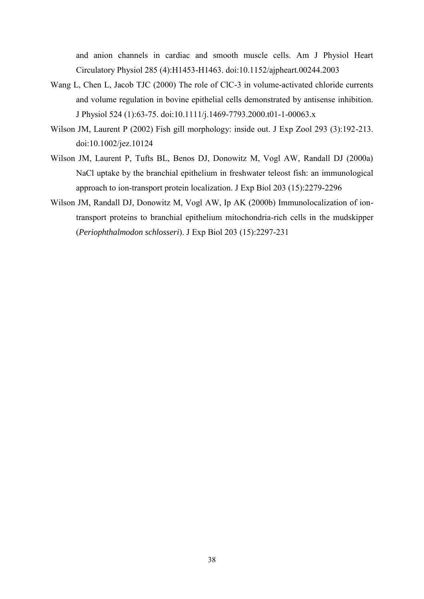and anion channels in cardiac and smooth muscle cells. Am J Physiol Heart Circulatory Physiol 285 (4):H1453-H1463. doi:10.1152/ajpheart.00244.2003

- Wang L, Chen L, Jacob TJC (2000) The role of ClC-3 in volume-activated chloride currents and volume regulation in bovine epithelial cells demonstrated by antisense inhibition. J Physiol 524 (1):63-75. doi:10.1111/j.1469-7793.2000.t01-1-00063.x
- Wilson JM, Laurent P (2002) Fish gill morphology: inside out. J Exp Zool 293 (3):192-213. doi:10.1002/jez.10124
- Wilson JM, Laurent P, Tufts BL, Benos DJ, Donowitz M, Vogl AW, Randall DJ (2000a) NaCl uptake by the branchial epithelium in freshwater teleost fish: an immunological approach to ion-transport protein localization. J Exp Biol 203 (15):2279-2296
- Wilson JM, Randall DJ, Donowitz M, Vogl AW, Ip AK (2000b) Immunolocalization of iontransport proteins to branchial epithelium mitochondria-rich cells in the mudskipper (*Periophthalmodon schlosseri*). J Exp Biol 203 (15):2297-231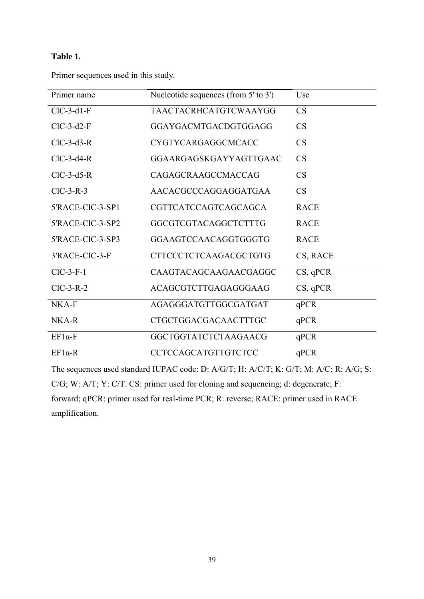# **Table 1.**

Primer sequences used in this study.

| Primer name      | Nucleotide sequences (from 5' to 3') | Use         |
|------------------|--------------------------------------|-------------|
| $ClC-3-d1-F$     | TAACTACRHCATGTCWAAYGG                | CS          |
| $ClC-3-d2-F$     | GGAYGACMTGACDGTGGAGG                 | <b>CS</b>   |
| $ClC-3-d3-R$     | CYGTYCARGAGGCMCACC                   | <b>CS</b>   |
| $ClC-3-d4-R$     | GGAARGAGSKGAYYAGTTGAAC               | CS          |
| $ClC-3-d5-R$     | CAGAGCRAAGCCMACCAG                   | <b>CS</b>   |
| $ClC-3-R-3$      | AACACGCCCAGGAGGATGAA                 | CS          |
| 5'RACE-CIC-3-SP1 | CGTTCATCCAGTCAGCAGCA                 | <b>RACE</b> |
| 5'RACE-CIC-3-SP2 | GGCGTCGTACAGGCTCTTTG                 | <b>RACE</b> |
| 5'RACE-CIC-3-SP3 | GGAAGTCCAACAGGTGGGTG                 | <b>RACE</b> |
| 3'RACE-CIC-3-F   | <b>CTTCCCTCTCAAGACGCTGTG</b>         | CS, RACE    |
| $ClC-3-F-1$      | CAAGTACAGCAAGAACGAGGC                | $CS$ , qPCR |
| $ClC-3-R-2$      | ACAGCGTCTTGAGAGGGAAG                 | $CS$ , qPCR |
| NKA-F            | AGAGGGATGTTGGCGATGAT                 | qPCR        |
| NKA-R            | <b>CTGCTGGACGACAACTTTGC</b>          | qPCR        |
| $EF1\alpha$ -F   | <b>GGCTGGTATCTCTAAGAACG</b>          | qPCR        |
| $EF1\alpha-R$    | CCTCCAGCATGTTGTCTCC                  | qPCR        |
|                  |                                      |             |

The sequences used standard IUPAC code: D: A/G/T; H: A/C/T; K: G/T; M: A/C; R: A/G; S: C/G; W: A/T; Y: C/T. CS: primer used for cloning and sequencing; d: degenerate; F: forward; qPCR: primer used for real-time PCR; R: reverse; RACE: primer used in RACE amplification.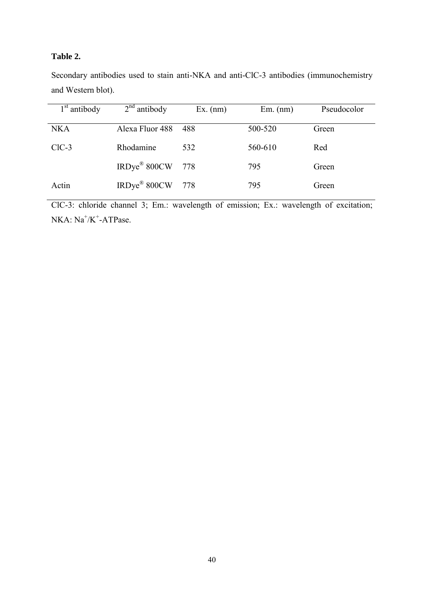# **Table 2.**

|                    |  |  |  | Secondary antibodies used to stain anti-NKA and anti-CIC-3 antibodies (immunochemistry |
|--------------------|--|--|--|----------------------------------------------------------------------------------------|
| and Western blot). |  |  |  |                                                                                        |

| 1 <sup>st</sup> antibody | $2nd$ antibody           | $Ex.$ (nm) | $Em.$ (nm) | Pseudocolor |
|--------------------------|--------------------------|------------|------------|-------------|
| <b>NKA</b>               | Alexa Fluor 488          | 488        | 500-520    | Green       |
| $ClC-3$                  | Rhodamine                | 532        | 560-610    | Red         |
|                          | IRDye <sup>®</sup> 800CW | 778        | 795        | Green       |
| Actin                    | IRDye <sup>®</sup> 800CW | 778        | 795        | Green       |

ClC-3: chloride channel 3; Em.: wavelength of emission; Ex.: wavelength of excitation;  $NKA$ :  $Na^+/K^+$ -ATPase.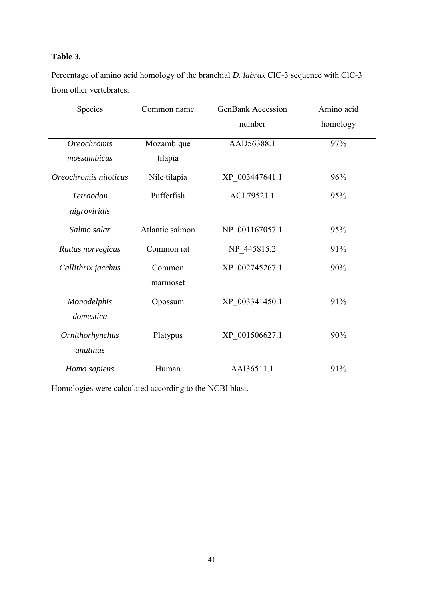# **Table 3.**

Percentage of amino acid homology of the branchial *D. labrax* ClC-3 sequence with ClC-3 from other vertebrates.

| Species               | Common name     | <b>GenBank Accession</b> | Amino acid |
|-----------------------|-----------------|--------------------------|------------|
|                       |                 | number                   | homology   |
| <b>Oreochromis</b>    | Mozambique      | AAD56388.1               | 97%        |
| mossambicus           | tilapia         |                          |            |
| Oreochromis niloticus | Nile tilapia    | XP 003447641.1           | 96%        |
| Tetraodon             | Pufferfish      | ACL79521.1               | 95%        |
| nigroviridis          |                 |                          |            |
| Salmo salar           | Atlantic salmon | NP 001167057.1           | 95%        |
| Rattus norvegicus     | Common rat      | NP_445815.2              | 91%        |
| Callithrix jacchus    | Common          | XP 002745267.1           | 90%        |
|                       | marmoset        |                          |            |
| Monodelphis           | Opossum         | XP 003341450.1           | 91%        |
| domestica             |                 |                          |            |
| Ornithorhynchus       | Platypus        | XP 001506627.1           | 90%        |
| anatinus              |                 |                          |            |
| Homo sapiens          | Human           | AAI36511.1               | 91%        |

Homologies were calculated according to the NCBI blast.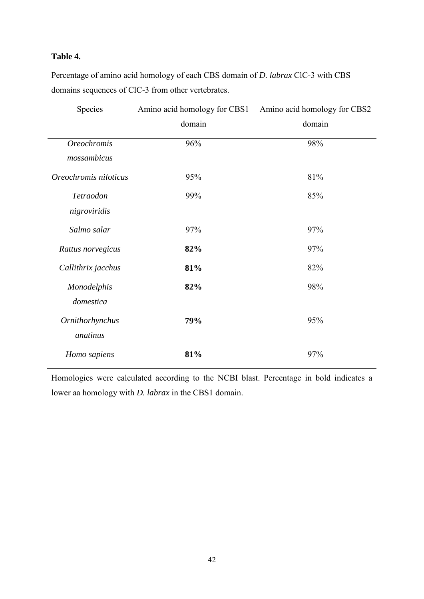# **Table 4.**

Percentage of amino acid homology of each CBS domain of *D. labrax* ClC-3 with CBS domains sequences of ClC-3 from other vertebrates.

| Species               | Amino acid homology for CBS1 | Amino acid homology for CBS2 |
|-----------------------|------------------------------|------------------------------|
|                       | domain                       | domain                       |
| <b>Oreochromis</b>    | 96%                          | 98%                          |
| mossambicus           |                              |                              |
| Oreochromis niloticus | 95%                          | 81%                          |
| Tetraodon             | 99%                          | 85%                          |
| nigroviridis          |                              |                              |
| Salmo salar           | 97%                          | 97%                          |
| Rattus norvegicus     | 82%                          | 97%                          |
| Callithrix jacchus    | 81%                          | 82%                          |
| Monodelphis           | 82%                          | 98%                          |
| domestica             |                              |                              |
| Ornithorhynchus       | 79%                          | 95%                          |
| anatinus              |                              |                              |
| Homo sapiens          | 81%                          | 97%                          |

Homologies were calculated according to the NCBI blast. Percentage in bold indicates a lower aa homology with *D. labrax* in the CBS1 domain.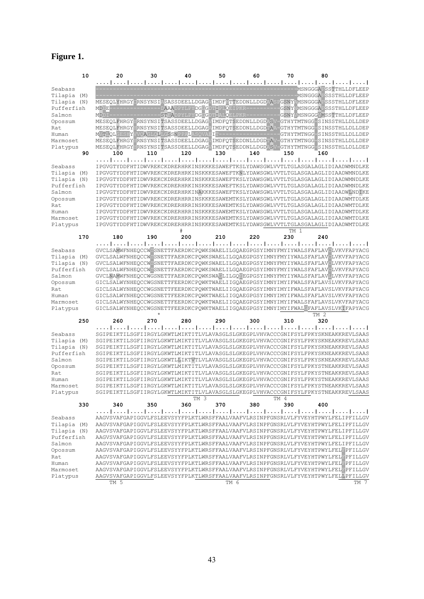# **Figure 1.**

| 10                           | 20                                                    | 30  | 40                                                         | 50   | 60                                 | 70                 | 80                                                                                                                                                                   |      |
|------------------------------|-------------------------------------------------------|-----|------------------------------------------------------------|------|------------------------------------|--------------------|----------------------------------------------------------------------------------------------------------------------------------------------------------------------|------|
|                              |                                                       |     |                                                            |      |                                    |                    |                                                                                                                                                                      |      |
| Seabass                      |                                                       |     |                                                            |      |                                    |                    | MSNGGGAFSSTTHLLDFLEEP                                                                                                                                                |      |
| Tilapia (M)                  |                                                       |     |                                                            |      |                                    |                    | MSNGGGAFSSSTHLLDFLEEP                                                                                                                                                |      |
| Tilapia<br>(N)<br>Pufferfish | <b>MDDE</b>                                           |     | D <mark>AAA</mark> DPYLPY <mark>DGGGDTIPLQ</mark> EIPKR--- |      |                                    |                    | MESEQLYHRGYCRNSYNSIASASSDEELLDGAGVIMDFHTTEDDNLLDGDAASPGSNYAMSNGGGAFSSSTHLLDFLEEP<br>GSNYNMSNGGGAFSSSTHLLDFLEEP                                                       |      |
| Salmon                       | MDDI-                                                 |     |                                                            |      | STEADPYLPYDGGGDTIALOELPKR--------- |                    | GSNYVMSNGGGVMSSTTHLLDFLEEP                                                                                                                                           |      |
| Opossum                      | MESEQLFHRGYYRNSYNSITSASSDEELLDGAGVIMDFQTSEDDNLLDGDASV |     |                                                            |      |                                    |                    | GTHYTMTNGG-SINSSTHLLDLLDEP                                                                                                                                           |      |
| Rat                          |                                                       |     |                                                            |      |                                    |                    | MESEQLFHRGYYRNSYNSITSASSDEELLDGAGAIMDFQTSEDDNLLDGDTAA-GTHYTMTNGG-SINSSTHLLDLLDEP                                                                                     |      |
| Human                        | MVTLQLGESHYVVQAGLQLLGSSNPPALASQVAEIT---               |     |                                                            |      |                                    |                    | GTHYTMTNGG-SINSSTHLLDLLDEP                                                                                                                                           |      |
| Marmoset                     |                                                       |     |                                                            |      |                                    |                    | MESEQLFHRGYYRNSYNSITSASSDEELLDGAGVIMDFQTSEDDNLLDGDTAV-GTHYTMTNGG-SINSSTHLLDLLDEP                                                                                     |      |
| Platypus                     |                                                       |     |                                                            |      |                                    |                    | MESEQLFHRGYYRNSYNSITSASSDEELLDGAGVIMDFQTSEDDNLLDGDASV-GTHYTMTNGG-SINSSTHLLDLLDEP                                                                                     |      |
| 90                           | 100                                                   | 110 | 120                                                        | 130  | 140                                | 150                | 160                                                                                                                                                                  |      |
|                              |                                                       |     |                                                            |      |                                    |                    | المتما بمتما بمتما بمتما بمتما بمتما بمتما بمتما بمتما بمتما بمتما بمتما بمتما يتميا ويتما                                                                           |      |
| Seabass                      |                                                       |     |                                                            |      |                                    |                    | IPGVGTYDDFHTIDWVREKCKDRERHRKINSKKKESAWEFTKSLYDAWSGWLVVTLTGLASGALAGLIDIAADWMNDLKE                                                                                     |      |
| Tilapia (M)                  |                                                       |     |                                                            |      |                                    |                    | IPGVGTYDDFHTIDWVREKCKDRERHRKINSKKKESAWEFTKNLYDAWSGWLVVTLTGLASGALAGLIDIAADWMNDLKE                                                                                     |      |
| Tilapia<br>(N)<br>Pufferfish |                                                       |     |                                                            |      |                                    |                    | IPGVGTYDDFHTIDWVREKCKDRERHRKINSKKKESAWEFTKSLYDAWSGWLVVTLTGLASGALAGLIDIAADWMNDLKE<br>IPGVGTYDDFHTIDWVREKCKDRERHRKINSKKKESAWEFTKSLYDAWSGWLVVTLTGLASGALAGLIDIAADWMNDLKE |      |
| Salmon                       |                                                       |     |                                                            |      |                                    |                    | IPGVGTYDDFHTIDWVREKCKDRERHRKINAKKKESAWEFTKSLYDAWSGWLVVTLTGLASGALAGLIDIAADWLNDIKE                                                                                     |      |
| Opossum                      |                                                       |     |                                                            |      |                                    |                    | IPGVGTYDDFHTIDWVREKCKDRERHRRINSKKKESAWEMTKSLYDAWSGWLVVTLTGLASGALAGLIDIAADWMTDLKE                                                                                     |      |
| Rat                          |                                                       |     |                                                            |      |                                    |                    | IPGVGTYDDFHTIDWVREKCKDRERHRRINSKKKESAWEMTKSLYDAWSGWLVVTLTGLASGALAGLIDIAADWMTDLKE                                                                                     |      |
| Human                        |                                                       |     |                                                            |      |                                    |                    | IPGVGTYDDFHTIDWVREKCKDRERHRRINSKKKESAWEMTKSLYDAWSGWLVVTLTGLASGALAGLIDIAADWMTDLKE                                                                                     |      |
| Marmoset                     |                                                       |     |                                                            |      |                                    |                    | IPGVGTYDDFHTIDWVREKCKDRERHRRINSKKKESAWEMTKSLYDAWSGWLVVTLTGLASGALAGLIDIAADWMTDLKE                                                                                     |      |
| Platypus                     |                                                       |     |                                                            |      |                                    |                    | IPGVGTYDDFHTIDWVREKCKDRERHRRINSKKKESAWEMTKSLYDAWSGWLVVTLTGLASGALAGLIDIAADWMTDLKE                                                                                     |      |
|                              |                                                       |     | #                                                          |      |                                    | TM<br>$\mathbf{1}$ |                                                                                                                                                                      |      |
| 170                          | 180                                                   | 190 | 200                                                        | 210  | 220                                | 230                | 240                                                                                                                                                                  |      |
|                              |                                                       |     |                                                            |      |                                    |                    |                                                                                                                                                                      |      |
| Seabass<br>Tilapia<br>(M)    |                                                       |     |                                                            |      |                                    |                    | GVCLSAMWFNHEQCCWTSNETTFAERDKCPQWKSWAELILGQAEGPGSYIMNYFMYIYWALSFAFLAVCLVKVFAPYACG<br>GVCLSALWFNHEOCCWLSNETTFAERDKCPOWKSWAELILGOAEGPGSYIMNYFMYIYWALSFAFLAVOLVKVFAPYACG |      |
| Tilapia<br>(N)               |                                                       |     |                                                            |      |                                    |                    | GVCLSALWFNHEOCCWLSNETTFAERDKCPOWKSWAELILGOAEGPGSYIMNYFMYIYWALSFAFLAVCLVKVFAPYACG                                                                                     |      |
| Pufferfish                   |                                                       |     |                                                            |      |                                    |                    | GVCLSALWFNHEQCCWDSNETTFAERDKCPQWKSWAELILGQAEGPGSYIMNYFMYIYWALSFAFLAVCLVKVFAPYACG                                                                                     |      |
| Salmon                       |                                                       |     |                                                            |      |                                    |                    | GVCLNAMWFNHEOCCWGSNETTFAERDKCPOWKSWACLILGOFEGPGSYIMNYFMYIYWALSFAFLAVLLVKVFAPYACG                                                                                     |      |
| Opossum                      |                                                       |     |                                                            |      |                                    |                    | GICLSALWYNHEQCCWGSNETTFEERDKCPQWKTWAELIIGQAEGPGSYIMNYIMYIFWALSFAFLAVSLVKVFAPYACG                                                                                     |      |
| Rat                          |                                                       |     |                                                            |      |                                    |                    | GICLSALWYNHEQCCWGSNETTFEERDKCPQWKTWAELIIGQAEGPGSYIMNYIMYIFWALSFAFLAVSLVKVFAPYACG                                                                                     |      |
| Human                        |                                                       |     |                                                            |      |                                    |                    | GICLSALWYNHEQCCWGSNETTFEERDKCPQWKTWAELIIGQAEGPGSYIMNYIMYIFWALSFAFLAVSLVKVFAPYACG                                                                                     |      |
| Marmoset                     |                                                       |     |                                                            |      |                                    |                    | GICLSALWYNHEQCCWGSNETTFEERDKCPQWKTWAELIIGQAEGPGSYIMNYIMYIFWALSFAFLAVSLVKVFAPYACG                                                                                     |      |
| Platypus                     |                                                       |     |                                                            |      |                                    |                    | GICLSALWYNHEQCCWGSNETTFEERDKCPQWKTWAELIIGQAEGPGSYIMNYIMYIFWALGFAFLAVSLVKIFAPYACG                                                                                     |      |
| 250                          | 260                                                   | 270 | 280                                                        | 290  | 300                                | 310                | TM <sub>2</sub><br>320                                                                                                                                               |      |
|                              |                                                       |     |                                                            |      |                                    |                    | المتما بمتما بمتما المتما المتما لمتما بمتما المتما لمتما المتما المتما المتما المتما المتم                                                                          |      |
| Seabass                      |                                                       |     |                                                            |      |                                    |                    | SGIPEIKTILSGFIIRGYLGKWTLMIKTITLVLAVASGLSLGKEGPLVHVACCCGNIFSYLFPKYSKNEAKKREVLSAAS                                                                                     |      |
| Tilapia<br>(M)               |                                                       |     |                                                            |      |                                    |                    | SGIPEIKTILSGFIIRGYLGKWTLMIKTITLVLAVASGLSLGKEGPLVHVACCCGNIFSYLFPKYSKNEAKKREVLSAAS                                                                                     |      |
| Tilapia (N)                  |                                                       |     |                                                            |      |                                    |                    | SGIPEIKTILSGFIIRGYLGKWTLMIKTITLVLAVASGLSLGKEGPLVHVACCCGNIFSYLFPKYSKNEAKKREVLSAAS                                                                                     |      |
| Pufferfish                   |                                                       |     |                                                            |      |                                    |                    | SGIPEIKTILSGFIIRGYLGKWTLMIKTITLVLAVASGLSLGKEGPLVHVACCCGNIFSYLFPKYSKNEAKKREVLSAAS                                                                                     |      |
| Salmon                       |                                                       |     |                                                            |      |                                    |                    | SGIPEIKTILSGFIIRGYLGKWTLLIKTVTLVLAVASGLSLGKEGPLVHVACCCGNIFSYLFPKYSKNEAKKREVLSAAS                                                                                     |      |
| Opossum                      |                                                       |     |                                                            |      |                                    |                    | SGIPEIKTILSGFIIRGYLGKWTLMIKTITLVLAVASGLSLGKEGPLVHVACCCGNIFSYLFPKYSTNEAKKREVLSAAS                                                                                     |      |
| Rat                          |                                                       |     |                                                            |      |                                    |                    | SGIPEIKTILSGFIIRGYLGKWTLMIKTITLVLAVASGLSLGKEGPLVHVACCCGNIFSYLFPKYSTNEAKKREVLSAAS                                                                                     |      |
| Human                        |                                                       |     |                                                            |      |                                    |                    | SGIPEIKTILSGFIIRGYLGKWTLMIKTITLVLAVASGLSLGKEGPLVHVACCCGNIFSYLFPKYSTNEAKKREVLSAAS<br>SGIPEIKTILSGFIIRGYLGKWTLMIKTITLVLAVASGLSLGKEGPLVHVACCCGNIFSYLFPKYSTNEAKKREVLSAAS |      |
| Marmoset                     |                                                       |     |                                                            |      |                                    |                    | SGIPEIKTILSGFIIRGYLGKWTLMIKTITLVLAVASGLSLGKEGPLVHVACCCGNIFSYLFPKYSTNEAKKREVLSAAS                                                                                     |      |
| Platypus                     |                                                       |     | TM 3                                                       |      |                                    | TM 4               |                                                                                                                                                                      |      |
| 330                          | 340                                                   | 350 | 360                                                        | 370  | 380                                | 390                | 400                                                                                                                                                                  |      |
|                              |                                                       |     |                                                            |      |                                    |                    |                                                                                                                                                                      |      |
| Seabass                      |                                                       |     |                                                            |      |                                    |                    | AAGVSVAFGAPIGGVLFSLEEVSYYFPLKTLWRSFFAALVAAFVLRSINPFGNSRLVLFYVEYHTPWYLFELIPFILLGV                                                                                     |      |
| Tilapia (M)                  |                                                       |     |                                                            |      |                                    |                    | AAGVSVAFGAPIGGVLFSLEEVSYYFPLKTLWRSFFAALVAAFVLRSINPFGNSRLVLFYVEYHTPWYLFELIPFILLGV                                                                                     |      |
| Tilapia (N)                  |                                                       |     |                                                            |      |                                    |                    | AAGVSVAFGAPIGGVLFSLEEVSYYFPLKTLWRSFFAALVAAFVLRSINPFGNSRLVLFYVEYHTPWYLFELIPFILLGV                                                                                     |      |
| Pufferfish                   |                                                       |     |                                                            |      |                                    |                    | AAGVSVAFGAPIGGVLFSLEEVSYYFPLKTLWRSFFAALVAAFVLRSINPFGNSRLVLFYVEYHTPWYLFELIPFILLGV                                                                                     |      |
| Salmon                       |                                                       |     |                                                            |      |                                    |                    | AAGVSVAFGAPIGGVLFSLEEVSYYFPLKTLWRSFFAALVAAFVLRSINPFGNSRLVLFYVEYHTPWYLFELIPFILLGV                                                                                     |      |
| Opossum                      |                                                       |     |                                                            |      |                                    |                    | AAGVSVAFGAPIGGVLFSLEEVSYYFPLKTLWRSFFAALVAAFVLRSINPFGNSRLVLFYVEYHTPWYLFELFPFILLGV                                                                                     |      |
| Rat                          |                                                       |     |                                                            |      |                                    |                    | AAGVSVAFGAPIGGVLFSLEEVSYYFPLKTLWRSFFAALVAAFVLRSINPFGNSRLVLFYVEYHTPWYLFELFPFILLGV                                                                                     |      |
| Human<br>Marmoset            |                                                       |     |                                                            |      |                                    |                    | AAGVSVAFGAPIGGVLFSLEEVSYYFPLKTLWRSFFAALVAAFVLRSINPFGNSRLVLFYVEYHTPWYLFELFPFILLGV<br>AAGVSVAFGAPIGGVLFSLEEVSYYFPLKTLWRSFFAALVAAFVLRSINPFGNSRLVLFYVEYHTPWYLFELFPFILLGV |      |
| Platypus                     |                                                       |     |                                                            |      |                                    |                    | AAGVSVAFGAPIGGVLFSLEEVSYYFPLKTLWRSFFAALVAAFVLRSINPFGNSRLVLFYVEYHTPWYLFELLPFILLGV                                                                                     |      |
|                              | TM 5                                                  |     |                                                            | TM 6 |                                    |                    |                                                                                                                                                                      | TM 7 |
|                              |                                                       |     |                                                            |      |                                    |                    |                                                                                                                                                                      |      |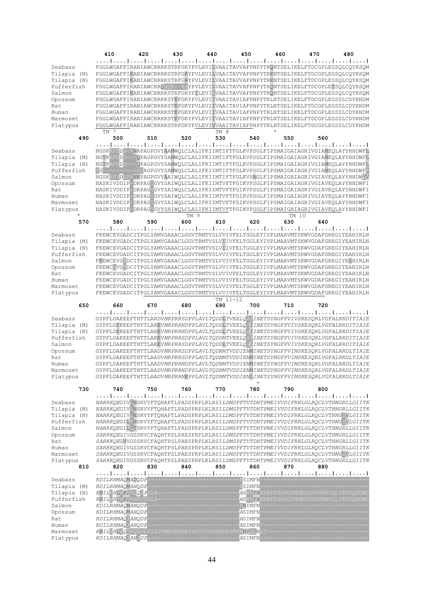|                                                                                                                        | 410                                    | 420                                                                                                                                                                                                                                                                                                                                                                                                                                                                                                                                                                                                                                                                                                                                                                                                                                                                                                                                                                       | 430  | 440      | 450                 | 460                                                                            | 470 | 480 |
|------------------------------------------------------------------------------------------------------------------------|----------------------------------------|---------------------------------------------------------------------------------------------------------------------------------------------------------------------------------------------------------------------------------------------------------------------------------------------------------------------------------------------------------------------------------------------------------------------------------------------------------------------------------------------------------------------------------------------------------------------------------------------------------------------------------------------------------------------------------------------------------------------------------------------------------------------------------------------------------------------------------------------------------------------------------------------------------------------------------------------------------------------------|------|----------|---------------------|--------------------------------------------------------------------------------|-----|-----|
| Seabass<br>Tilapia (M)<br>Tilapia<br>(N)<br>Pufferfish<br>Salmon                                                       |                                        | FGGLWGAFFIRANIAWCRRRKSTRFGKYPVLEVILVAAITAVVAFPNPYTRQNTSELIKELFTDCGPLESSQLCQYRSQM<br>FGGLWGAFFIKANIAWCRRRKSTRFGRYPVLEVILVAAITAVVAFPNPYTRKNTSELIKELFTDCGPLESSQLCQYRSQM<br>FGGLWGAFFIKANIAWCRRRKSTRFGRYPVLEVILVAAITAVVAFPNPYTRKNTSELIKELFTDCGPLESSQLCQYRSQM<br>FGGLWGAFFIRANIAWCRRQNQR--ASYPVLEVILVAAITAVVAFPNPYTRONTSELIKELFTDCGPLETSQLCQYRSQM<br>FGGLWGAFFIKANIAWCRRRKSTRFGKYPILEVIFVAAITAVVAFPNPYTRQNTSELIKELFTDCGPLESSQLCQYRSQM                                                                                                                                                                                                                                                                                                                                                                                                                                                                                                                                          |      |          |                     |                                                                                |     |     |
| Opossum<br>Rat<br>Human<br>Marmoset                                                                                    |                                        | FGGLWGAFFIRANIAWCRRRKSTKFGKYPVLEVIIVAAITAVIAFPNPYTRLNTSELIKELFTDCGPLESSSLCDYRNDM<br>FGGLWGAFFIRANIAWCRRRKSTKFGKYPVLEVIIVAAITAVIAFPNPYTRLNTSELIKELFTDCGPLESSSLCDYRNDM<br>FGGLWGAFFIRANIAWCRRRKSTKFGKYPVLEVIIVAAITAVIAFPNPYTRLNTSELIKELFTDCGPLESSSLCDYRNDM<br>FGGLWGAFFIRANIAWCRRRKSTKFGKYPVLEVIIVAAITAVIAFPNPYTRLNTSELIKELFTDCGPLESSSLCDYRNDM                                                                                                                                                                                                                                                                                                                                                                                                                                                                                                                                                                                                                              |      |          |                     |                                                                                |     |     |
| Platypus                                                                                                               | <b>TM 7</b>                            | FGGLWGAFFIRANIAWCRRRKSTRFGKYPVLEVIVVAAITAVIAFPNPYTRLNTSELIKELFTDCGPLESSSLCDYRNDM                                                                                                                                                                                                                                                                                                                                                                                                                                                                                                                                                                                                                                                                                                                                                                                                                                                                                          |      | TM 8     |                     |                                                                                |     |     |
| 490                                                                                                                    | 500                                    | 510                                                                                                                                                                                                                                                                                                                                                                                                                                                                                                                                                                                                                                                                                                                                                                                                                                                                                                                                                                       | 520  | 530      | 540                 | 550                                                                            | 560 |     |
| Seabass<br>Tilapia<br>(M)<br>Tilapia<br>(N)<br>Pufferfish<br>Salmon<br>Opossum<br>Rat<br>Human<br>Marmoset<br>Platypus | $TG$ ---------                         | المتما ومنوا ومنوا ومواسوها ومواسوها والمواسوط والمواسوط والمواسوط المتواسوط المتو<br>NGSKAFSDN-PNRPAGPGVYAAMWQLCLALIFKIIMTIFTFGLKVPSGLFIPSMAIGAIAGRIVGIAMEQLAYYHHDWFL<br>NGTKAFSDD---QPAGPGVYSAMWQLCLALIFKIIMTIFTFGLKVPSGLFIPSMAIGAIAGRIVGIAMEQLAYYHHDWFL<br>NGTKAFSDD---QPAGPGVYSAMWQLCLALIFKIIMTIFTFGLKVPSGLFIPSMAIGAIAGRIVGIAMEQLAYYHHDWFL<br>NGSKAFVDASPNKPAGPGVYAAIWQLCLALIFKIIMTIFTFGLKVPAGLFIPSMAIGAIAGRIVGIAVEQLAYYHHDWLV<br>NASKIVDDIP-DRPAGIGVYSAIWQLCLALIFKIIMTVFTFGIKVPSGLFIPSMAIGAIAGRIVGIAVEQLAYYHHDWFI<br>NASKIVDDIP-DRPAGVGVYSAIWOLCLALIFKIIMTVFTFGIKVPSGLFIPSMAIGAIAGRIVGIAVEOLAYYHHDWFI<br>NASKIVDDIP-DRPAGIGVYSAIWQLCLALIFKIIMTVFTFGIKVPSGLFIPSMAIGAIAGRIVGIAVEQLAYYHHDWFI<br>NASKIVDDIP-DRPAGIGVYSAIWQLCLALIFKIIMTVFTFGIKVPSGLFIPSMAIGAIAGRIVGIAVEQLAYYHHDWFI<br>NASKIVDDIP DRPAGIGVYSAIWQLCLALIFKIIMTVFTFGIKVPSGLFIPSMAIGAIAGRIVGIAVEQLAYYHHDWFI                                                                                                    | TM 9 |          |                     | -SDAGPGVYSAMWQLCLALIFKIIMTIFTFGLKVPSGLFIPSMAIGAIAGRIVGIAMEQLAYYHHDWFF<br>TM 10 |     |     |
| 570                                                                                                                    | 580                                    | 590                                                                                                                                                                                                                                                                                                                                                                                                                                                                                                                                                                                                                                                                                                                                                                                                                                                                                                                                                                       | 600  | 610      | 620                 | 630                                                                            | 640 |     |
| Seabass<br>Tilapia<br>(M)<br>Tilapia<br>(N)<br>Pufferfish<br>Salmon<br>Opossum<br>Rat<br>Human<br>Marmoset<br>Platypus |                                        | المتما ومواردوه المتمر المتمر المتمر المتمر المتمر المتمر المتمر المتمر المتمر المتمر المتمر<br>FKEWCEVGADCITPGLYAMVGAAACLGGVTRMTVSLVVIVFELTGGLEYIVPLMAAVMTSKWVGDAFGREGIYEAHIRLN<br>FKEWCEVGADCITPGLYAMVGAAACLGGVTRMTVSLVIIVFELTGGLEYIVPLMAAVMTSKWVGDAFGREGIYEAHIRLN<br>FKEWCEVGADCITPGLYAMVGAAACLGGVTRMTVSLVIIVFELTGGLEYIVPLMAAVMTSKWVGDAFGREGIYEAHIRLN<br>FKEWCEVGADCITPGLYAMVGAAACLGGVTRMTVSLVVIVFELTGGLEYIVPLMAAVMTSKWVGDAFGREGIYEAHIRLN<br>FREWCEVGIDCITPGLYAMVGAAACLGGVTRMTVSLVVIVFELTGGLEYIVPLMAAVMTSKWVGDAFGREGIYESHIRLN<br>FKEWCCVGIDCITPGLYAMVGAAACLGGVTRMTVSLVVIVFELTGGLEYIVPLMAAVMTSKWVGDAFGREGIYEAHIRLN<br>FKEWCEVGADCITPGLYAMVGAAACLGGVTRMTVSLVVIVFELTGGLEYIVPLMAAVMTSKWVGDAFGREGIYEAHIRLN<br>FKEWCEVGADCITPGLYAMVGAAACLGGVTRMTVSLVVIVFELTGGLEYIVPLMAAVMTSKWVGDAFGREGIYEAHIRLN<br>FKEWCEVGADCITPGLYAMVGAAACLGGVTRMTVSLVVIVFELTGGLEYIVPLMAAVMTSKWVGDAFGREGIYEAHIRLN<br>FKEWCEVGADCITPGLYAMVGAAACLGGVTRMTVSLVVIVFELTGGLEYIVPLMAAVMTSKWVGDAFGREGIYEAHIRLN      |      | TM 11-12 |                     |                                                                                |     |     |
| 650                                                                                                                    | 660                                    | 670                                                                                                                                                                                                                                                                                                                                                                                                                                                                                                                                                                                                                                                                                                                                                                                                                                                                                                                                                                       | 680  | 690      | 700                 | 710                                                                            | 720 |     |
| Seabass<br>Tilapia (M)<br>Tilapia (N)<br>Pufferfish<br>Salmon<br>Opossum<br>Rat<br>Human<br>Marmoset<br>Platypus       |                                        | المتما بمتما وبمباردته المتمرا بمتما ومتمرا ومتمرا ومتمرا ومتما ومتمرا ومتمرا ومتمرا وبمب<br>${\tt GYPFLDAKEEFFHTTLARDVMRPRRSDPPLAVLTQDDLTVEELQATINETSYNGFPVIVSKESQRLVGFALRRDITIAIE}$<br>GYPFLDSKEEFTHTTLAREVMRPRRNDPPLAVLTQDDLTVEELQGIINETSYNGFPVIVSKESQRLVGFALRRDITIAIE<br>GYPFLDSKEEFTHTTLAREVMRPRRNDPPLAVLTQDDLTVEELQGIINETSYNGFPVIVSKESQRLVGFALRRDITIAIE<br>GYPFLDAKEEFTHTTLAREVMRPRRSDPPLAVLTQDDMTVEELQATINETSYNGFPVIVSKESQRLVGFALRRDITIAIE<br>GYPFLDAKEEFTHTTLAREVMRPRRSDPPLAVLTQDDLTVEELQGIINETSYNGFPVIVSKESQRLVGFALRRDITIAIE<br>GYPFLDAKEEFTHTTLAADVMRPRRSDPPLAVLTQDNMTVDDIENMINETSYNGFPVIMSKESQRLVGFALRRDLTIAIE<br>GYPFLDAKEEFTHTTLAADVMRPRRSDPPLAVLTQDNMTVDDIENMINETSYNGFPVIMSKESQRLVGFALRRDLTIAIE<br>GYPFLDAKEEFTHTTLAADVMRPRRNDPPLAVLTQDNMTVDDIENMINETSYNGFPVIMSKESQRLVGFALRRDLTIAIE<br>GYPFLDAKEEFTHTTLAADVMRPRRNDPPLAVLTQDNMTVDDIENMINETSYNGFPVIMSKESQRLVGFALRRDLTIAIE<br>GYPFLDAKEEFTHTTLAADVMRPRRNEPPLAVLTQDNMTVDDIENLINETSYNGFPVIMSKESQRLVGFALRRDLTIAIE |      |          |                     |                                                                                |     |     |
| 730                                                                                                                    | 740                                    | 750                                                                                                                                                                                                                                                                                                                                                                                                                                                                                                                                                                                                                                                                                                                                                                                                                                                                                                                                                                       | 760  | 770      | 780                 | 790                                                                            | 800 |     |
| Seabass<br>Tilapia (M)<br>Tilapia (N)<br>Pufferfish<br>Salmon<br>Opossum<br>Rat<br>Human<br>Marmoset<br>Platypus       |                                        | المتما بممار بممارسته المتمار بمنه المتمار بمتمل بمتمار بمنه المتمار بمتمار بمتمار بمتمار بمت<br>NARRKQEGIVLNSRVYFTQHAPTLPADSPRPLKLRSILDMSPFTVTDHTPMEIVVDIFRKLGLRQCLVTHNGRLLGIITK<br>NARRKQEGIVLNSRVYFTQHAPTLPADSPRPLKLRSILDMSPFTVTDHTPMEIVVDIFRKLGLRQCLVTHNGRLLGIITK<br>NARRKQEGIVLNSRVYFTQHAPTLPADSPRPLKLRSILDMSPFTVTDHTPMEIVVDIFRKLGLRQCLVTHNGIVLGIITK<br>NARRKQEGILFNSRVYFTQHAPTLPADSPRPLKLRSILDMSPFTVTDHTPMEIVVDIFRKLGLRQCLVTHNGIVLGIITK<br>NARRKQEGILLTSRVYFTQHAPTLPADSPRPLKLRSILDMSPFTVTDHTPMEIVVDIFRKLGLRQCLVTHNGRLLGIITK<br>SARKKQEGIVGSSRVCFAQHTPSLPAESPRPLKLRSILDMSPFTVTDHTPMEIVVDIFRKLGLRQCLVTHNGRLLGIITK<br>SARKKQEGVVGSSRVCFAQHTPSLPAESPRPLKLRSILDMSPFTVTDHTPMEIVVDIFRKLGLRQCLVTHNGRLLGIITK<br>SARKKOEGIVGSSRVCFAOHTPSLPAESPRPLKLRSILDMSPFTVTDHTPMEIVVDIFRKLGLROCLVTHNGRLLGIITK<br>SARKKQEGIVGSSRVCFAQHTPSLPAESPRPLKLRSILDMSPFTVTDHTPMEIVVDIFRKLGLRQCLVTHNGIVLGIITK<br>SARKKQEGIVGSSRVCFAQHTPSLPAESPRPLKLRSILDMSPFTVTDHTPMEIVVDIFRKLGLRQCLVTHNGRLLGIITK     |      |          |                     |                                                                                |     |     |
| 810                                                                                                                    | 820                                    | 830                                                                                                                                                                                                                                                                                                                                                                                                                                                                                                                                                                                                                                                                                                                                                                                                                                                                                                                                                                       | 840  | 850      | 860                 | 870                                                                            | 880 |     |
| Seabass                                                                                                                | KDILRHMAQMADQDP-                       |                                                                                                                                                                                                                                                                                                                                                                                                                                                                                                                                                                                                                                                                                                                                                                                                                                                                                                                                                                           |      |          | $---ESTMFN$         |                                                                                |     |     |
| Tilapia (M)<br>Tilapia (N)                                                                                             | KDILRHMAOMANODP<br>KNILEHLEELKOOSPPLA- |                                                                                                                                                                                                                                                                                                                                                                                                                                                                                                                                                                                                                                                                                                                                                                                                                                                                                                                                                                           |      |          | $-E$ SIMFN          | --------- <mark>AS</mark> WYYHKKRYPSSHGSNGKSGSRVHHVOLIRSFODGWG                 |     |     |
| Pufferfish                                                                                                             | KNILEHLEELKRHTEPLA                     |                                                                                                                                                                                                                                                                                                                                                                                                                                                                                                                                                                                                                                                                                                                                                                                                                                                                                                                                                                           |      |          |                     | -ASWYYHKKRYPSSHGSNGKPGSRVHHVQLIRSFQDGWG                                        |     |     |
| Salmon<br>Opossum                                                                                                      | KDILRHMAQMANQDP<br>KDILRHMAOMANODP     |                                                                                                                                                                                                                                                                                                                                                                                                                                                                                                                                                                                                                                                                                                                                                                                                                                                                                                                                                                           |      |          | $-DNIMFN$<br>ASIMFN |                                                                                |     |     |
| Rat                                                                                                                    | KDILRHMAQTANQDP-                       |                                                                                                                                                                                                                                                                                                                                                                                                                                                                                                                                                                                                                                                                                                                                                                                                                                                                                                                                                                           |      |          | ASIMFN              |                                                                                |     |     |
| Human                                                                                                                  | KDILRHMAO ANODP                        | KNILEHLEQLKQHVEPLAPPWHYNKKRYPPTYGSDGKPRPRFNNVQLNLT                                                                                                                                                                                                                                                                                                                                                                                                                                                                                                                                                                                                                                                                                                                                                                                                                                                                                                                        |      |          | <b>ASIMFN</b>       |                                                                                |     |     |
| Marmoset<br>Platypus                                                                                                   | KDILRHMAOTANHDP-                       |                                                                                                                                                                                                                                                                                                                                                                                                                                                                                                                                                                                                                                                                                                                                                                                                                                                                                                                                                                           |      |          | <b>ASIMFN</b>       |                                                                                |     |     |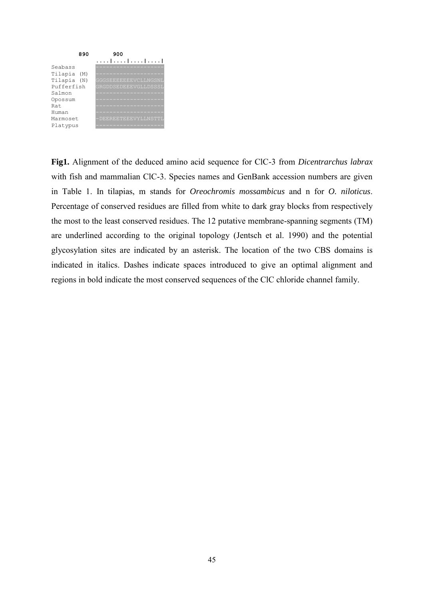

**Fig1.** Alignment of the deduced amino acid sequence for ClC-3 from *Dicentrarchus labrax* with fish and mammalian ClC-3. Species names and GenBank accession numbers are given in Table 1. In tilapias, m stands for *Oreochromis mossambicus* and n for *O. niloticus*. Percentage of conserved residues are filled from white to dark gray blocks from respectively the most to the least conserved residues. The 12 putative membrane-spanning segments (TM) are underlined according to the original topology (Jentsch et al. 1990) and the potential glycosylation sites are indicated by an asterisk. The location of the two CBS domains is indicated in italics. Dashes indicate spaces introduced to give an optimal alignment and regions in bold indicate the most conserved sequences of the ClC chloride channel family.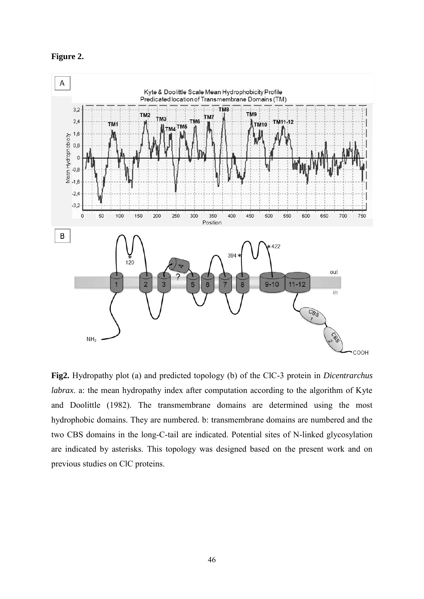



**Fig2.** Hydropathy plot (a) and predicted topology (b) of the ClC-3 protein in *Dicentrarchus labrax*. a: the mean hydropathy index after computation according to the algorithm of Kyte and Doolittle (1982). The transmembrane domains are determined using the most hydrophobic domains. They are numbered. b: transmembrane domains are numbered and the two CBS domains in the long-C-tail are indicated. Potential sites of N-linked glycosylation are indicated by asterisks. This topology was designed based on the present work and on previous studies on ClC proteins.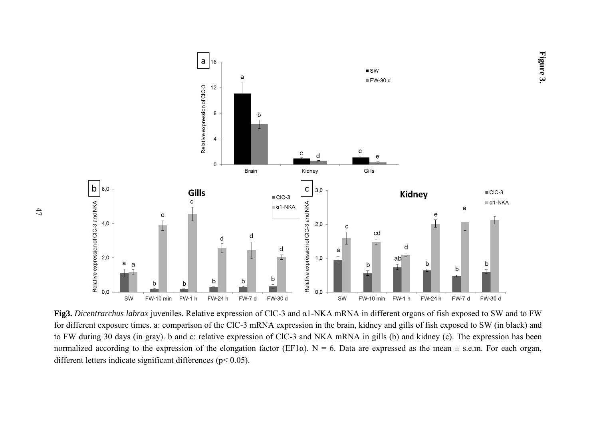

**Figure 3.**

**Fig3.** *Dicentrarchus labrax* juveniles. Relative expression of ClC-3 and α1-NKA mRNA in different organs of fish exposed to SW and to FW for different exposure times. a: comparison of the ClC-3 mRNA expression in the brain, kidney and gills of fish exposed to SW (in black) and to FW during 30 days (in gray). b and c: relative expression of ClC-3 and NKA mRNA in gills (b) and kidney (c). The expression has been normalized according to the expression of the elongation factor (EF1 $\alpha$ ). N = 6. Data are expressed as the mean  $\pm$  s.e.m. For each organ, different letters indicate significant differences (p< 0.05).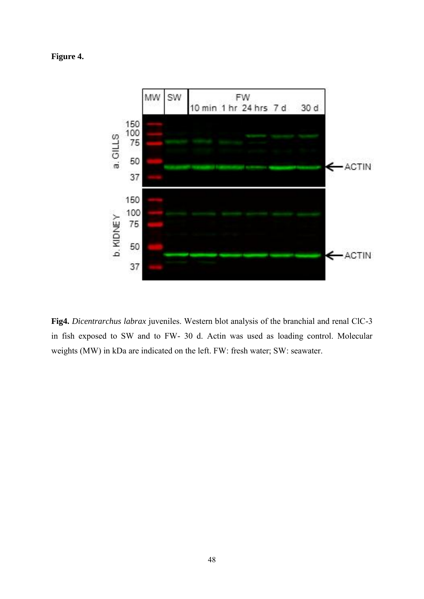**Figure 4.**



**Fig4.** *Dicentrarchus labrax* juveniles. Western blot analysis of the branchial and renal ClC-3 in fish exposed to SW and to FW- 30 d. Actin was used as loading control. Molecular weights (MW) in kDa are indicated on the left. FW: fresh water; SW: seawater.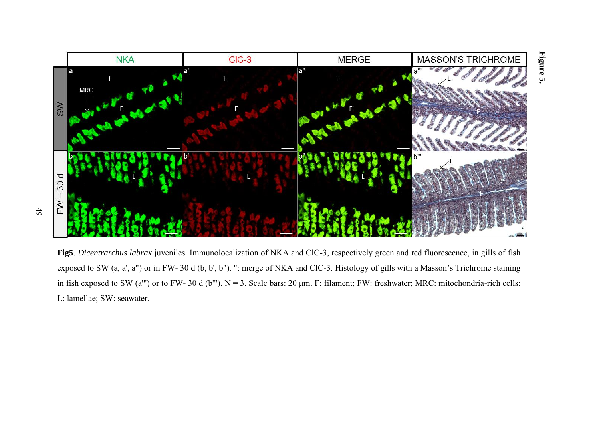

**Fig5**. *Dicentrarchus labrax* juveniles. Immunolocalization of NKA and ClC-3, respectively green and red fluorescence, in gills of fish exposed to SW (a, a', a") or in FW- 30 d (b, b', b"). ": merge of NKA and ClC-3. Histology of gills with a Masson's Trichrome staining in fish exposed to SW (a'") or to FW- 30 d (b'"). N = 3. Scale bars: 20 μm. F: filament; FW: freshwater; MRC: mitochondria-rich cells; L: lamellae; SW: seawater.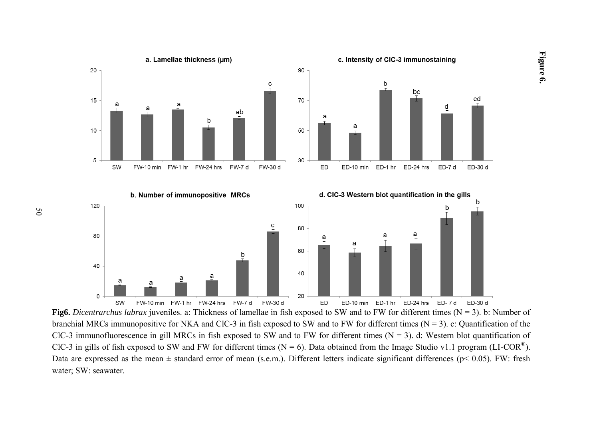

**Fig6.** *Dicentrarchus labrax* juveniles. a: Thickness of lamellae in fish exposed to SW and to FW for different times (N = 3). b: Number of branchial MRCs immunopositive for NKA and ClC-3 in fish exposed to SW and to FW for different times ( $N = 3$ ). c: Quantification of the ClC-3 immunofluorescence in gill MRCs in fish exposed to SW and to FW for different times  $(N = 3)$ . d: Western blot quantification of ClC-3 in gills of fish exposed to SW and FW for different times (N = 6). Data obtained from the Image Studio v1.1 program (LI-COR<sup>®</sup>). Data are expressed as the mean  $\pm$  standard error of mean (s.e.m.). Different letters indicate significant differences ( $p$ < 0.05). FW: fresh water; SW: seawater.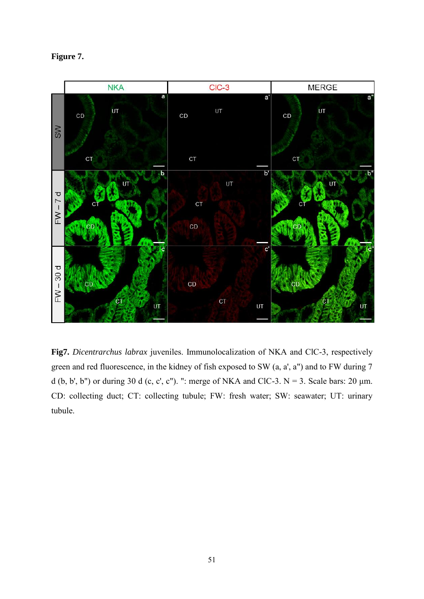| ווועו |
|-------|
|-------|



**Fig7.** *Dicentrarchus labrax* juveniles. Immunolocalization of NKA and ClC-3, respectively green and red fluorescence, in the kidney of fish exposed to SW (a, a', a") and to FW during 7 d (b, b', b'') or during 30 d (c, c', c''). ": merge of NKA and ClC-3.  $N = 3$ . Scale bars: 20  $\mu$ m. CD: collecting duct; CT: collecting tubule; FW: fresh water; SW: seawater; UT: urinary tubule.